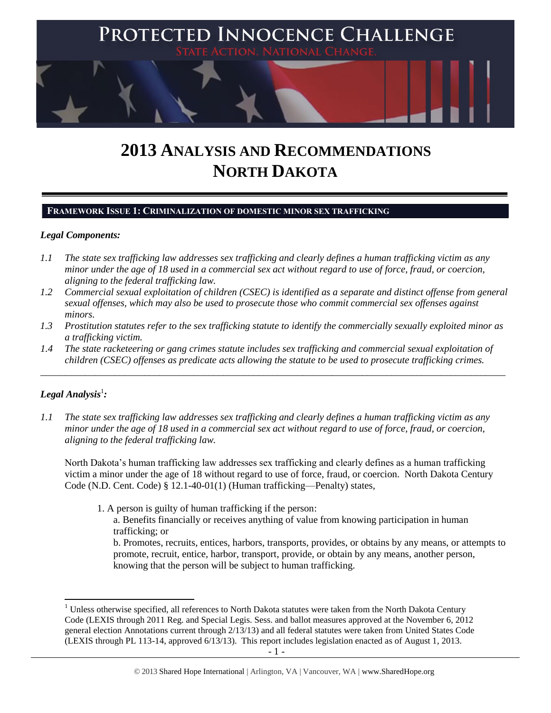

# **2013 ANALYSIS AND RECOMMENDATIONS NORTH DAKOTA**

## **FRAMEWORK ISSUE 1: CRIMINALIZATION OF DOMESTIC MINOR SEX TRAFFICKING**

## *Legal Components:*

- *1.1 The state sex trafficking law addresses sex trafficking and clearly defines a human trafficking victim as any minor under the age of 18 used in a commercial sex act without regard to use of force, fraud, or coercion, aligning to the federal trafficking law.*
- *1.2 Commercial sexual exploitation of children (CSEC) is identified as a separate and distinct offense from general sexual offenses, which may also be used to prosecute those who commit commercial sex offenses against minors.*
- *1.3 Prostitution statutes refer to the sex trafficking statute to identify the commercially sexually exploited minor as a trafficking victim.*
- *1.4 The state racketeering or gang crimes statute includes sex trafficking and commercial sexual exploitation of children (CSEC) offenses as predicate acts allowing the statute to be used to prosecute trafficking crimes.*

\_\_\_\_\_\_\_\_\_\_\_\_\_\_\_\_\_\_\_\_\_\_\_\_\_\_\_\_\_\_\_\_\_\_\_\_\_\_\_\_\_\_\_\_\_\_\_\_\_\_\_\_\_\_\_\_\_\_\_\_\_\_\_\_\_\_\_\_\_\_\_\_\_\_\_\_\_\_\_\_\_\_\_\_\_\_\_\_\_\_\_\_\_\_

## $\bm{L}$ egal Analysis $^1$ :

*1.1 The state sex trafficking law addresses sex trafficking and clearly defines a human trafficking victim as any minor under the age of 18 used in a commercial sex act without regard to use of force, fraud, or coercion, aligning to the federal trafficking law.*

North Dakota's human trafficking law addresses sex trafficking and clearly defines as a human trafficking victim a minor under the age of 18 without regard to use of force, fraud, or coercion. North Dakota Century Code (N.D. Cent. Code) § 12.1-40-01(1) (Human trafficking—Penalty) states,

1. A person is guilty of human trafficking if the person:

a. Benefits financially or receives anything of value from knowing participation in human trafficking; or

b. Promotes, recruits, entices, harbors, transports, provides, or obtains by any means, or attempts to promote, recruit, entice, harbor, transport, provide, or obtain by any means, another person, knowing that the person will be subject to human trafficking.

l  $1$  Unless otherwise specified, all references to North Dakota statutes were taken from the North Dakota Century Code (LEXIS through 2011 Reg. and Special Legis. Sess. and ballot measures approved at the November 6, 2012 general election Annotations current through 2/13/13) and all federal statutes were taken from United States Code (LEXIS through PL 113-14, approved 6/13/13). This report includes legislation enacted as of August 1, 2013.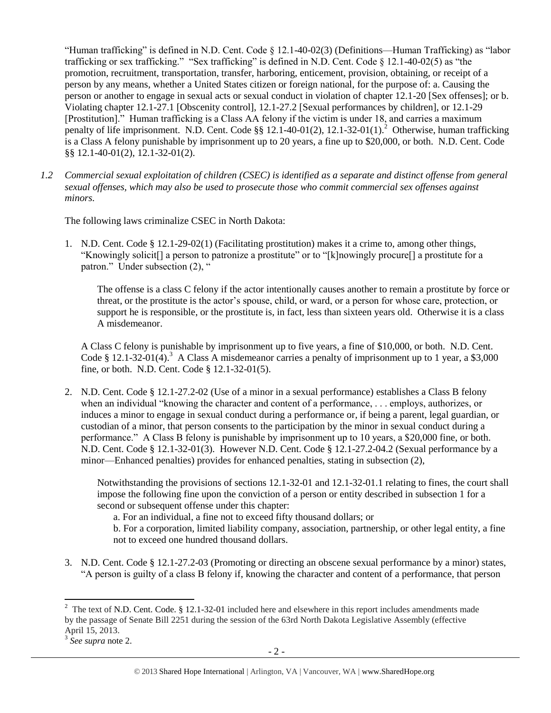<span id="page-1-0"></span>"Human trafficking" is defined in N.D. Cent. Code § 12.1-40-02(3) (Definitions—Human Trafficking) as "labor trafficking or sex trafficking." "Sex trafficking" is defined in N.D. Cent. Code § 12.1-40-02(5) as "the promotion, recruitment, transportation, transfer, harboring, enticement, provision, obtaining, or receipt of a person by any means, whether a United States citizen or foreign national, for the purpose of: a. Causing the person or another to engage in sexual acts or sexual conduct in violation of chapter 12.1-20 [Sex offenses]; or b. Violating chapter 12.1-27.1 [Obscenity control], 12.1-27.2 [Sexual performances by children], or 12.1-29 [Prostitution]." Human trafficking is a Class AA felony if the victim is under 18, and carries a maximum penalty of life imprisonment. N.D. Cent. Code §§ 12.1-40-01(2), 12.1-32-01(1).<sup>2</sup> Otherwise, human trafficking is a Class A felony punishable by imprisonment up to 20 years, a fine up to \$20,000, or both. N.D. Cent. Code §§ 12.1-40-01(2), 12.1-32-01(2).

*1.2 Commercial sexual exploitation of children (CSEC) is identified as a separate and distinct offense from general sexual offenses, which may also be used to prosecute those who commit commercial sex offenses against minors.*

The following laws criminalize CSEC in North Dakota:

1. N.D. Cent. Code § 12.1-29-02(1) (Facilitating prostitution) makes it a crime to, among other things, "Knowingly solicit[] a person to patronize a prostitute" or to "[k]nowingly procure[] a prostitute for a patron." Under subsection (2), "

The offense is a class C felony if the actor intentionally causes another to remain a prostitute by force or threat, or the prostitute is the actor's spouse, child, or ward, or a person for whose care, protection, or support he is responsible, or the prostitute is, in fact, less than sixteen years old. Otherwise it is a class A misdemeanor.

A Class C felony is punishable by imprisonment up to five years, a fine of \$10,000, or both. N.D. Cent. Code § 12.1-32-01(4).<sup>3</sup> A Class A misdemeanor carries a penalty of imprisonment up to 1 year, a \$3,000 fine, or both. N.D. Cent. Code § 12.1-32-01(5).

2. N.D. Cent. Code § 12.1-27.2-02 (Use of a minor in a sexual performance) establishes a Class B felony when an individual "knowing the character and content of a performance, . . . employs, authorizes, or induces a minor to engage in sexual conduct during a performance or, if being a parent, legal guardian, or custodian of a minor, that person consents to the participation by the minor in sexual conduct during a performance." A Class B felony is punishable by imprisonment up to 10 years, a \$20,000 fine, or both. N.D. Cent. Code § 12.1-32-01(3). However N.D. Cent. Code § 12.1-27.2-04.2 (Sexual performance by a minor—Enhanced penalties) provides for enhanced penalties, stating in subsection (2),

Notwithstanding the provisions of sections 12.1-32-01 and 12.1-32-01.1 relating to fines, the court shall impose the following fine upon the conviction of a person or entity described in subsection 1 for a second or subsequent offense under this chapter:

a. For an individual, a fine not to exceed fifty thousand dollars; or

b. For a corporation, limited liability company, association, partnership, or other legal entity, a fine not to exceed one hundred thousand dollars.

3. N.D. Cent. Code § 12.1-27.2-03 (Promoting or directing an obscene sexual performance by a minor) states, "A person is guilty of a class B felony if, knowing the character and content of a performance, that person

<sup>&</sup>lt;sup>2</sup> The text of N.D. Cent. Code. § 12.1-32-01 included here and elsewhere in this report includes amendments made by the passage of Senate Bill 2251 during the session of the 63rd North Dakota Legislative Assembly (effective April 15, 2013. 3 *See supra* note [2.](#page-1-0)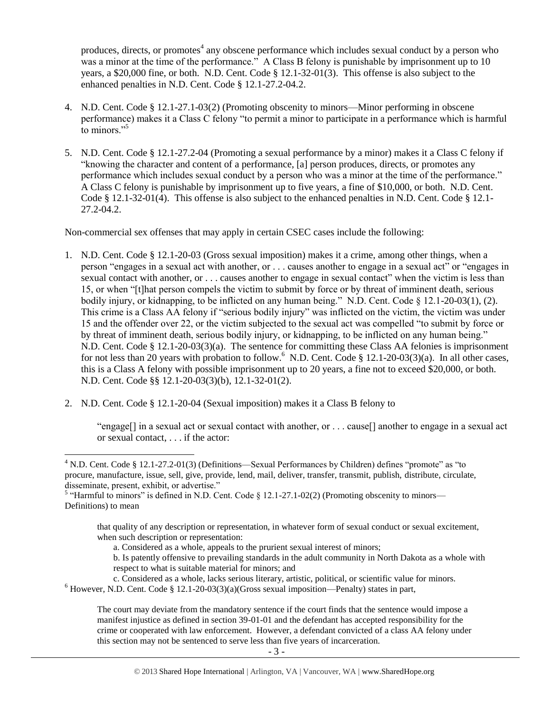produces, directs, or promotes<sup>4</sup> any obscene performance which includes sexual conduct by a person who was a minor at the time of the performance." A Class B felony is punishable by imprisonment up to 10 years, a \$20,000 fine, or both. N.D. Cent. Code § 12.1-32-01(3). This offense is also subject to the enhanced penalties in N.D. Cent. Code § 12.1-27.2-04.2.

- 4. N.D. Cent. Code § 12.1-27.1-03(2) (Promoting obscenity to minors—Minor performing in obscene performance) makes it a Class C felony "to permit a minor to participate in a performance which is harmful to minors."<sup>5</sup>
- 5. N.D. Cent. Code § 12.1-27.2-04 (Promoting a sexual performance by a minor) makes it a Class C felony if "knowing the character and content of a performance, [a] person produces, directs, or promotes any performance which includes sexual conduct by a person who was a minor at the time of the performance." A Class C felony is punishable by imprisonment up to five years, a fine of \$10,000, or both. N.D. Cent. Code § 12.1-32-01(4). This offense is also subject to the enhanced penalties in N.D. Cent. Code § 12.1- 27.2-04.2.

Non-commercial sex offenses that may apply in certain CSEC cases include the following:

- 1. N.D. Cent. Code § 12.1-20-03 (Gross sexual imposition) makes it a crime, among other things, when a person "engages in a sexual act with another, or . . . causes another to engage in a sexual act" or "engages in sexual contact with another, or . . . causes another to engage in sexual contact" when the victim is less than 15, or when "[t]hat person compels the victim to submit by force or by threat of imminent death, serious bodily injury, or kidnapping, to be inflicted on any human being." N.D. Cent. Code § 12.1-20-03(1), (2). This crime is a Class AA felony if "serious bodily injury" was inflicted on the victim, the victim was under 15 and the offender over 22, or the victim subjected to the sexual act was compelled "to submit by force or by threat of imminent death, serious bodily injury, or kidnapping, to be inflicted on any human being." N.D. Cent. Code § 12.1-20-03(3)(a). The sentence for committing these Class AA felonies is imprisonment for not less than 20 years with probation to follow.<sup>6</sup> N.D. Cent. Code § 12.1-20-03(3)(a). In all other cases, this is a Class A felony with possible imprisonment up to 20 years, a fine not to exceed \$20,000, or both. N.D. Cent. Code §§ 12.1-20-03(3)(b), 12.1-32-01(2).
- 2. N.D. Cent. Code § 12.1-20-04 (Sexual imposition) makes it a Class B felony to

 $\overline{a}$ 

"engage[] in a sexual act or sexual contact with another, or . . . cause[] another to engage in a sexual act or sexual contact, . . . if the actor:

that quality of any description or representation, in whatever form of sexual conduct or sexual excitement, when such description or representation:

a. Considered as a whole, appeals to the prurient sexual interest of minors;

b. Is patently offensive to prevailing standards in the adult community in North Dakota as a whole with respect to what is suitable material for minors; and

- c. Considered as a whole, lacks serious literary, artistic, political, or scientific value for minors.
- $6$  However, N.D. Cent. Code § 12.1-20-03(3)(a)(Gross sexual imposition—Penalty) states in part,

The court may deviate from the mandatory sentence if the court finds that the sentence would impose a manifest injustice as defined in section 39-01-01 and the defendant has accepted responsibility for the crime or cooperated with law enforcement. However, a defendant convicted of a class AA felony under this section may not be sentenced to serve less than five years of incarceration.

<sup>4</sup> N.D. Cent. Code § 12.1-27.2-01(3) (Definitions—Sexual Performances by Children) defines "promote" as "to procure, manufacture, issue, sell, give, provide, lend, mail, deliver, transfer, transmit, publish, distribute, circulate, disseminate, present, exhibit, or advertise."<br><sup>5</sup> "Harmful to minors" is defined in N.D. Cent. Code § 12.1-27.1-02(2) (Promoting obscenity to minors—

Definitions) to mean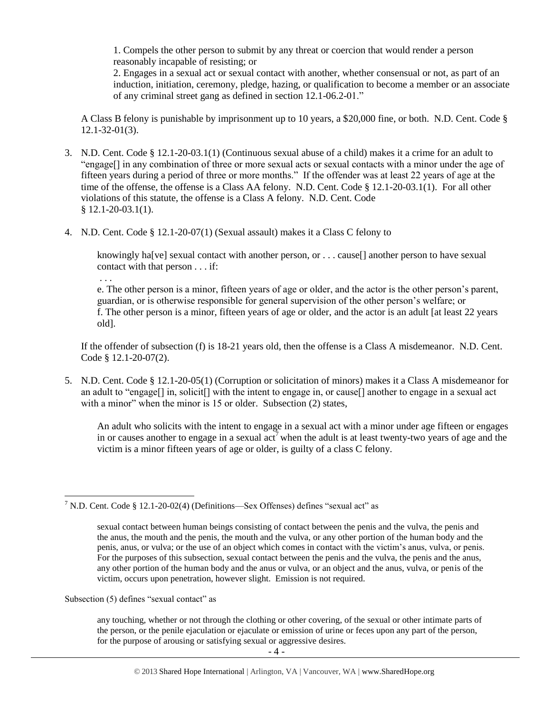1. Compels the other person to submit by any threat or coercion that would render a person reasonably incapable of resisting; or

2. Engages in a sexual act or sexual contact with another, whether consensual or not, as part of an induction, initiation, ceremony, pledge, hazing, or qualification to become a member or an associate of any criminal street gang as defined in section 12.1-06.2-01."

A Class B felony is punishable by imprisonment up to 10 years, a \$20,000 fine, or both. N.D. Cent. Code § 12.1-32-01(3).

- 3. N.D. Cent. Code § 12.1-20-03.1(1) (Continuous sexual abuse of a child) makes it a crime for an adult to "engage[] in any combination of three or more sexual acts or sexual contacts with a minor under the age of fifteen years during a period of three or more months." If the offender was at least 22 years of age at the time of the offense, the offense is a Class AA felony. N.D. Cent. Code § 12.1-20-03.1(1). For all other violations of this statute, the offense is a Class A felony. N.D. Cent. Code  $$12.1-20-03.1(1).$
- 4. N.D. Cent. Code § 12.1-20-07(1) (Sexual assault) makes it a Class C felony to

knowingly ha<sup>[ve]</sup> sexual contact with another person, or . . . cause<sup>[]</sup> another person to have sexual contact with that person . . . if:

e. The other person is a minor, fifteen years of age or older, and the actor is the other person's parent, guardian, or is otherwise responsible for general supervision of the other person's welfare; or f. The other person is a minor, fifteen years of age or older, and the actor is an adult [at least 22 years old].

If the offender of subsection (f) is 18-21 years old, then the offense is a Class A misdemeanor. N.D. Cent. Code § 12.1-20-07(2).

5. N.D. Cent. Code § 12.1-20-05(1) (Corruption or solicitation of minors) makes it a Class A misdemeanor for an adult to "engage[] in, solicit[] with the intent to engage in, or cause[] another to engage in a sexual act with a minor" when the minor is 15 or older. Subsection (2) states,

An adult who solicits with the intent to engage in a sexual act with a minor under age fifteen or engages in or causes another to engage in a sexual act<sup>7</sup> when the adult is at least twenty-two years of age and the victim is a minor fifteen years of age or older, is guilty of a class C felony.

Subsection (5) defines "sexual contact" as

. . .

any touching, whether or not through the clothing or other covering, of the sexual or other intimate parts of the person, or the penile ejaculation or ejaculate or emission of urine or feces upon any part of the person, for the purpose of arousing or satisfying sexual or aggressive desires.

 $\overline{\phantom{a}}$ <sup>7</sup> N.D. Cent. Code § 12.1-20-02(4) (Definitions—Sex Offenses) defines "sexual act" as

sexual contact between human beings consisting of contact between the penis and the vulva, the penis and the anus, the mouth and the penis, the mouth and the vulva, or any other portion of the human body and the penis, anus, or vulva; or the use of an object which comes in contact with the victim's anus, vulva, or penis. For the purposes of this subsection, sexual contact between the penis and the vulva, the penis and the anus, any other portion of the human body and the anus or vulva, or an object and the anus, vulva, or penis of the victim, occurs upon penetration, however slight. Emission is not required.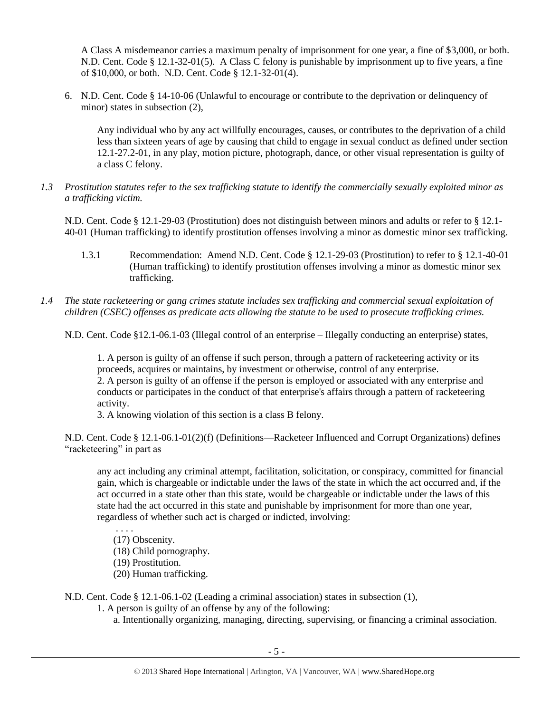A Class A misdemeanor carries a maximum penalty of imprisonment for one year, a fine of \$3,000, or both. N.D. Cent. Code § 12.1-32-01(5). A Class C felony is punishable by imprisonment up to five years, a fine of \$10,000, or both. N.D. Cent. Code § 12.1-32-01(4).

6. N.D. Cent. Code § 14-10-06 (Unlawful to encourage or contribute to the deprivation or delinquency of minor) states in subsection (2),

Any individual who by any act willfully encourages, causes, or contributes to the deprivation of a child less than sixteen years of age by causing that child to engage in sexual conduct as defined under section 12.1-27.2-01, in any play, motion picture, photograph, dance, or other visual representation is guilty of a class C felony.

*1.3 Prostitution statutes refer to the sex trafficking statute to identify the commercially sexually exploited minor as a trafficking victim.* 

N.D. Cent. Code § 12.1-29-03 (Prostitution) does not distinguish between minors and adults or refer to § 12.1- 40-01 (Human trafficking) to identify prostitution offenses involving a minor as domestic minor sex trafficking.

- 1.3.1 Recommendation: Amend N.D. Cent. Code § 12.1-29-03 (Prostitution) to refer to § 12.1-40-01 (Human trafficking) to identify prostitution offenses involving a minor as domestic minor sex trafficking.
- *1.4 The state racketeering or gang crimes statute includes sex trafficking and commercial sexual exploitation of children (CSEC) offenses as predicate acts allowing the statute to be used to prosecute trafficking crimes.*

N.D. Cent. Code §12.1-06.1-03 (Illegal control of an enterprise – Illegally conducting an enterprise) states,

1. A person is guilty of an offense if such person, through a pattern of racketeering activity or its proceeds, acquires or maintains, by investment or otherwise, control of any enterprise. 2. A person is guilty of an offense if the person is employed or associated with any enterprise and

conducts or participates in the conduct of that enterprise's affairs through a pattern of racketeering activity.

3. A knowing violation of this section is a class B felony.

N.D. Cent. Code § 12.1-06.1-01(2)(f) (Definitions—Racketeer Influenced and Corrupt Organizations) defines "racketeering" in part as

any act including any criminal attempt, facilitation, solicitation, or conspiracy, committed for financial gain, which is chargeable or indictable under the laws of the state in which the act occurred and, if the act occurred in a state other than this state, would be chargeable or indictable under the laws of this state had the act occurred in this state and punishable by imprisonment for more than one year, regardless of whether such act is charged or indicted, involving:

. . . . (17) Obscenity.

(18) Child pornography.

(19) Prostitution.

(20) Human trafficking.

N.D. Cent. Code § 12.1-06.1-02 (Leading a criminal association) states in subsection (1),

1. A person is guilty of an offense by any of the following:

a. Intentionally organizing, managing, directing, supervising, or financing a criminal association.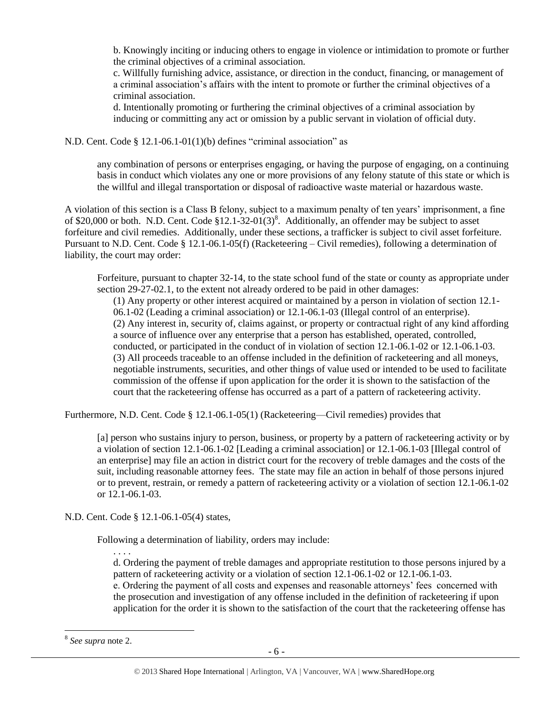b. Knowingly inciting or inducing others to engage in violence or intimidation to promote or further the criminal objectives of a criminal association.

c. Willfully furnishing advice, assistance, or direction in the conduct, financing, or management of a criminal association's affairs with the intent to promote or further the criminal objectives of a criminal association.

d. Intentionally promoting or furthering the criminal objectives of a criminal association by inducing or committing any act or omission by a public servant in violation of official duty.

N.D. Cent. Code § 12.1-06.1-01(1)(b) defines "criminal association" as

any combination of persons or enterprises engaging, or having the purpose of engaging, on a continuing basis in conduct which violates any one or more provisions of any felony statute of this state or which is the willful and illegal transportation or disposal of radioactive waste material or hazardous waste.

A violation of this section is a Class B felony, subject to a maximum penalty of ten years' imprisonment, a fine of \$20,000 or both. N.D. Cent. Code  $$12.1-32-01(3)<sup>8</sup>$ . Additionally, an offender may be subject to asset forfeiture and civil remedies. Additionally, under these sections, a trafficker is subject to civil asset forfeiture. Pursuant to N.D. Cent. Code § 12.1-06.1-05(f) (Racketeering – Civil remedies), following a determination of liability, the court may order:

Forfeiture, pursuant to chapter 32-14, to the state school fund of the state or county as appropriate under section 29-27-02.1, to the extent not already ordered to be paid in other damages:

(1) Any property or other interest acquired or maintained by a person in violation of section 12.1- 06.1-02 (Leading a criminal association) or 12.1-06.1-03 (Illegal control of an enterprise). (2) Any interest in, security of, claims against, or property or contractual right of any kind affording a source of influence over any enterprise that a person has established, operated, controlled, conducted, or participated in the conduct of in violation of section 12.1-06.1-02 or 12.1-06.1-03. (3) All proceeds traceable to an offense included in the definition of racketeering and all moneys, negotiable instruments, securities, and other things of value used or intended to be used to facilitate commission of the offense if upon application for the order it is shown to the satisfaction of the court that the racketeering offense has occurred as a part of a pattern of racketeering activity.

Furthermore, N.D. Cent. Code § 12.1-06.1-05(1) (Racketeering—Civil remedies) provides that

[a] person who sustains injury to person, business, or property by a pattern of racketeering activity or by a violation of section 12.1-06.1-02 [Leading a criminal association] or 12.1-06.1-03 [Illegal control of an enterprise] may file an action in district court for the recovery of treble damages and the costs of the suit, including reasonable attorney fees. The state may file an action in behalf of those persons injured or to prevent, restrain, or remedy a pattern of racketeering activity or a violation of section 12.1-06.1-02 or 12.1-06.1-03.

N.D. Cent. Code § 12.1-06.1-05(4) states,

. . . .

Following a determination of liability, orders may include:

d. Ordering the payment of treble damages and appropriate restitution to those persons injured by a pattern of racketeering activity or a violation of section 12.1-06.1-02 or 12.1-06.1-03. e. Ordering the payment of all costs and expenses and reasonable attorneys' fees concerned with

the prosecution and investigation of any offense included in the definition of racketeering if upon application for the order it is shown to the satisfaction of the court that the racketeering offense has

<sup>8</sup> *See supra* note [2.](#page-1-0)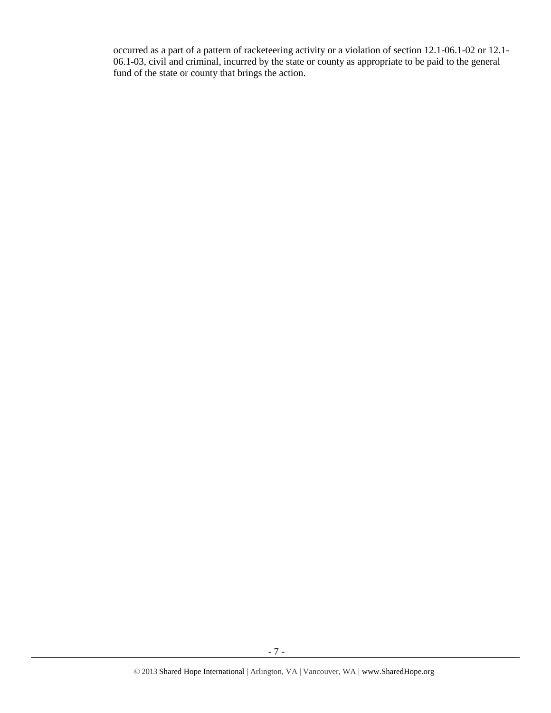occurred as a part of a pattern of racketeering activity or a violation of section 12.1-06.1-02 or 12.1- 06.1-03, civil and criminal, incurred by the state or county as appropriate to be paid to the general fund of the state or county that brings the action.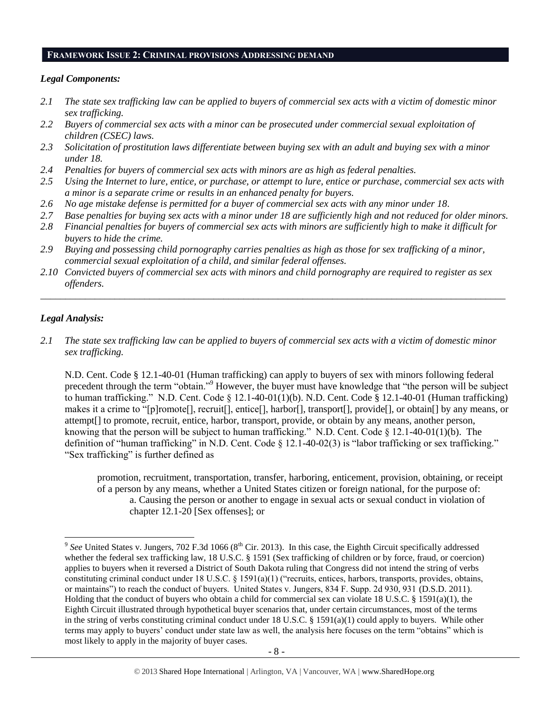#### **FRAMEWORK ISSUE 2: CRIMINAL PROVISIONS ADDRESSING DEMAND**

#### *Legal Components:*

- *2.1 The state sex trafficking law can be applied to buyers of commercial sex acts with a victim of domestic minor sex trafficking.*
- *2.2 Buyers of commercial sex acts with a minor can be prosecuted under commercial sexual exploitation of children (CSEC) laws.*
- *2.3 Solicitation of prostitution laws differentiate between buying sex with an adult and buying sex with a minor under 18.*
- *2.4 Penalties for buyers of commercial sex acts with minors are as high as federal penalties.*
- *2.5 Using the Internet to lure, entice, or purchase, or attempt to lure, entice or purchase, commercial sex acts with a minor is a separate crime or results in an enhanced penalty for buyers.*
- *2.6 No age mistake defense is permitted for a buyer of commercial sex acts with any minor under 18.*
- *2.7 Base penalties for buying sex acts with a minor under 18 are sufficiently high and not reduced for older minors.*
- *2.8 Financial penalties for buyers of commercial sex acts with minors are sufficiently high to make it difficult for buyers to hide the crime.*
- *2.9 Buying and possessing child pornography carries penalties as high as those for sex trafficking of a minor, commercial sexual exploitation of a child, and similar federal offenses.*
- *2.10 Convicted buyers of commercial sex acts with minors and child pornography are required to register as sex offenders.*

\_\_\_\_\_\_\_\_\_\_\_\_\_\_\_\_\_\_\_\_\_\_\_\_\_\_\_\_\_\_\_\_\_\_\_\_\_\_\_\_\_\_\_\_\_\_\_\_\_\_\_\_\_\_\_\_\_\_\_\_\_\_\_\_\_\_\_\_\_\_\_\_\_\_\_\_\_\_\_\_\_\_\_\_\_\_\_\_\_\_\_\_\_\_

#### *Legal Analysis:*

*2.1 The state sex trafficking law can be applied to buyers of commercial sex acts with a victim of domestic minor sex trafficking.* 

N.D. Cent. Code § 12.1-40-01 (Human trafficking) can apply to buyers of sex with minors following federal precedent through the term "obtain."<sup>9</sup> However, the buyer must have knowledge that "the person will be subject to human trafficking." N.D. Cent. Code § 12.1-40-01(1)(b). N.D. Cent. Code § 12.1-40-01 (Human trafficking) makes it a crime to "[p]romote[], recruit[], entice[], harbor[], transport[], provide[], or obtain[] by any means, or attempt[] to promote, recruit, entice, harbor, transport, provide, or obtain by any means, another person, knowing that the person will be subject to human trafficking." N.D. Cent. Code  $\S 12.1-40-01(1)(b)$ . The definition of "human trafficking" in N.D. Cent. Code  $\S$  12.1-40-02(3) is "labor trafficking or sex trafficking." "Sex trafficking" is further defined as

promotion, recruitment, transportation, transfer, harboring, enticement, provision, obtaining, or receipt of a person by any means, whether a United States citizen or foreign national, for the purpose of: a. Causing the person or another to engage in sexual acts or sexual conduct in violation of chapter 12.1-20 [Sex offenses]; or

<sup>&</sup>lt;sup>9</sup> See United States v. Jungers, 702 F.3d 1066 (8<sup>th</sup> Cir. 2013). In this case, the Eighth Circuit specifically addressed whether the federal sex trafficking law, 18 U.S.C. § 1591 (Sex trafficking of children or by force, fraud, or coercion) applies to buyers when it reversed a District of South Dakota ruling that Congress did not intend the string of verbs constituting criminal conduct under 18 U.S.C. § 1591(a)(1) ("recruits, entices, harbors, transports, provides, obtains, or maintains") to reach the conduct of buyers. United States v. Jungers, 834 F. Supp. 2d 930, 931 (D.S.D. 2011). Holding that the conduct of buyers who obtain a child for commercial sex can violate 18 U.S.C. § 1591(a)(1), the Eighth Circuit illustrated through hypothetical buyer scenarios that, under certain circumstances, most of the terms in the string of verbs constituting criminal conduct under 18 U.S.C. § 1591(a)(1) could apply to buyers. While other terms may apply to buyers' conduct under state law as well, the analysis here focuses on the term "obtains" which is most likely to apply in the majority of buyer cases.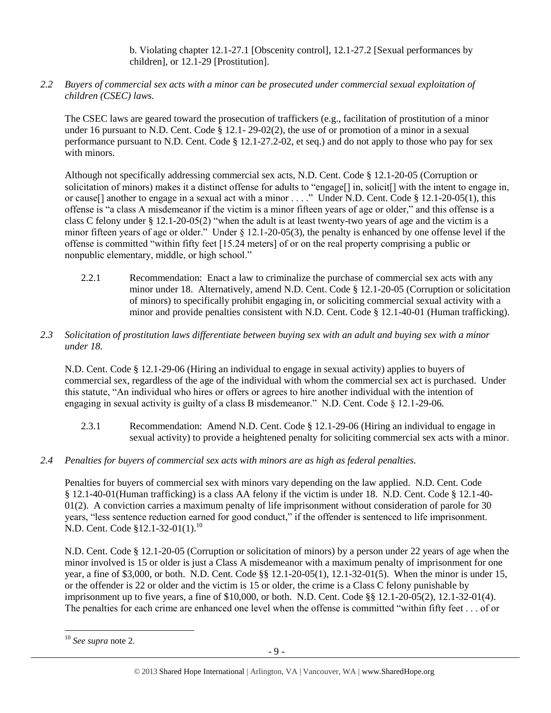b. Violating chapter 12.1-27.1 [Obscenity control], 12.1-27.2 [Sexual performances by children], or 12.1-29 [Prostitution].

*2.2 Buyers of commercial sex acts with a minor can be prosecuted under commercial sexual exploitation of children (CSEC) laws.*

The CSEC laws are geared toward the prosecution of traffickers (e.g., facilitation of prostitution of a minor under 16 pursuant to N.D. Cent. Code § 12.1- 29-02(2), the use of or promotion of a minor in a sexual performance pursuant to N.D. Cent. Code § 12.1-27.2-02, et seq.) and do not apply to those who pay for sex with minors.

Although not specifically addressing commercial sex acts, N.D. Cent. Code § 12.1-20-05 (Corruption or solicitation of minors) makes it a distinct offense for adults to "engage[] in, solicit[] with the intent to engage in, or cause[] another to engage in a sexual act with a minor . . . ." Under N.D. Cent. Code § 12.1-20-05(1), this offense is "a class A misdemeanor if the victim is a minor fifteen years of age or older," and this offense is a class C felony under § 12.1-20-05(2) "when the adult is at least twenty-two years of age and the victim is a minor fifteen years of age or older." Under § 12.1-20-05(3), the penalty is enhanced by one offense level if the offense is committed "within fifty feet [15.24 meters] of or on the real property comprising a public or nonpublic elementary, middle, or high school."

2.2.1 Recommendation: Enact a law to criminalize the purchase of commercial sex acts with any minor under 18. Alternatively, amend N.D. Cent. Code § 12.1-20-05 (Corruption or solicitation of minors) to specifically prohibit engaging in, or soliciting commercial sexual activity with a minor and provide penalties consistent with N.D. Cent. Code § 12.1-40-01 (Human trafficking).

# *2.3 Solicitation of prostitution laws differentiate between buying sex with an adult and buying sex with a minor under 18.*

N.D. Cent. Code § 12.1-29-06 (Hiring an individual to engage in sexual activity) applies to buyers of commercial sex, regardless of the age of the individual with whom the commercial sex act is purchased. Under this statute, "An individual who hires or offers or agrees to hire another individual with the intention of engaging in sexual activity is guilty of a class B misdemeanor." N.D. Cent. Code § 12.1-29-06.

- 2.3.1 Recommendation: Amend N.D. Cent. Code § 12.1-29-06 (Hiring an individual to engage in sexual activity) to provide a heightened penalty for soliciting commercial sex acts with a minor.
- *2.4 Penalties for buyers of commercial sex acts with minors are as high as federal penalties.*

Penalties for buyers of commercial sex with minors vary depending on the law applied. N.D. Cent. Code § 12.1-40-01(Human trafficking) is a class AA felony if the victim is under 18. N.D. Cent. Code § 12.1-40- 01(2). A conviction carries a maximum penalty of life imprisonment without consideration of parole for 30 years, "less sentence reduction earned for good conduct," if the offender is sentenced to life imprisonment. N.D. Cent. Code §12.1-32-01(1).<sup>10</sup>

N.D. Cent. Code § 12.1-20-05 (Corruption or solicitation of minors) by a person under 22 years of age when the minor involved is 15 or older is just a Class A misdemeanor with a maximum penalty of imprisonment for one year, a fine of \$3,000, or both. N.D. Cent. Code §§ 12.1-20-05(1), 12.1-32-01(5). When the minor is under 15, or the offender is 22 or older and the victim is 15 or older, the crime is a Class C felony punishable by imprisonment up to five years, a fine of \$10,000, or both. N.D. Cent. Code §§ 12.1-20-05(2), 12.1-32-01(4). The penalties for each crime are enhanced one level when the offense is committed "within fifty feet . . . of or

 $\overline{\phantom{a}}$ <sup>10</sup> *See supra* note [2.](#page-1-0)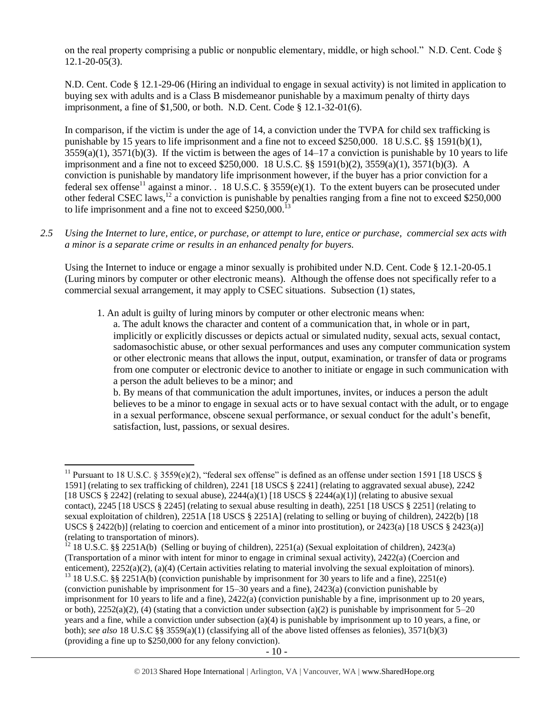on the real property comprising a public or nonpublic elementary, middle, or high school." N.D. Cent. Code  $\S$ 12.1-20-05(3).

N.D. Cent. Code § 12.1-29-06 (Hiring an individual to engage in sexual activity) is not limited in application to buying sex with adults and is a Class B misdemeanor punishable by a maximum penalty of thirty days imprisonment, a fine of \$1,500, or both. N.D. Cent. Code § 12.1-32-01(6).

<span id="page-9-0"></span>In comparison, if the victim is under the age of 14, a conviction under the TVPA for child sex trafficking is punishable by 15 years to life imprisonment and a fine not to exceed \$250,000. 18 U.S.C. §§ 1591(b)(1),  $3559(a)(1)$ ,  $3571(b)(3)$ . If the victim is between the ages of  $14-17$  a conviction is punishable by 10 years to life imprisonment and a fine not to exceed \$250,000. 18 U.S.C. §§ 1591(b)(2), 3559(a)(1), 3571(b)(3). A conviction is punishable by mandatory life imprisonment however, if the buyer has a prior conviction for a federal sex offense<sup>11</sup> against a minor. . 18 U.S.C. § 3559(e)(1). To the extent buyers can be prosecuted under other federal CSEC laws,<sup>12</sup> a conviction is punishable by penalties ranging from a fine not to exceed \$250,000 to life imprisonment and a fine not to exceed  $$250,000$ .<sup>13</sup>

*2.5 Using the Internet to lure, entice, or purchase, or attempt to lure, entice or purchase, commercial sex acts with a minor is a separate crime or results in an enhanced penalty for buyers.*

Using the Internet to induce or engage a minor sexually is prohibited under N.D. Cent. Code § 12.1-20-05.1 (Luring minors by computer or other electronic means). Although the offense does not specifically refer to a commercial sexual arrangement, it may apply to CSEC situations. Subsection (1) states,

1. An adult is guilty of luring minors by computer or other electronic means when:

a. The adult knows the character and content of a communication that, in whole or in part, implicitly or explicitly discusses or depicts actual or simulated nudity, sexual acts, sexual contact, sadomasochistic abuse, or other sexual performances and uses any computer communication system or other electronic means that allows the input, output, examination, or transfer of data or programs from one computer or electronic device to another to initiate or engage in such communication with a person the adult believes to be a minor; and

b. By means of that communication the adult importunes, invites, or induces a person the adult believes to be a minor to engage in sexual acts or to have sexual contact with the adult, or to engage in a sexual performance, obscene sexual performance, or sexual conduct for the adult's benefit, satisfaction, lust, passions, or sexual desires.

<sup>&</sup>lt;sup>11</sup> Pursuant to 18 U.S.C. § 3559(e)(2), "federal sex offense" is defined as an offense under section 1591 [18 USCS § 1591] (relating to sex trafficking of children), 2241 [18 USCS § 2241] (relating to aggravated sexual abuse), 2242 [18 USCS § 2242] (relating to sexual abuse),  $2244(a)(1)$  [18 USCS § 2244(a)(1)] (relating to abusive sexual contact), 2245 [18 USCS § 2245] (relating to sexual abuse resulting in death), 2251 [18 USCS § 2251] (relating to sexual exploitation of children), 2251A [18 USCS § 2251A] (relating to selling or buying of children), 2422(b) [18 USCS § 2422(b)] (relating to coercion and enticement of a minor into prostitution), or 2423(a) [18 USCS § 2423(a)] (relating to transportation of minors).

<sup>&</sup>lt;sup>12</sup> 18 U.S.C. §§ 2251A(b) (Selling or buying of children), 2251(a) (Sexual exploitation of children), 2423(a) (Transportation of a minor with intent for minor to engage in criminal sexual activity), 2422(a) (Coercion and enticement), 2252(a)(2), (a)(4) (Certain activities relating to material involving the sexual exploitation of minors).

<sup>&</sup>lt;sup>13</sup> 18 U.S.C. §§ 2251A(b) (conviction punishable by imprisonment for 30 years to life and a fine), 2251(e) (conviction punishable by imprisonment for 15–30 years and a fine), 2423(a) (conviction punishable by imprisonment for 10 years to life and a fine), 2422(a) (conviction punishable by a fine, imprisonment up to 20 years, or both),  $2252(a)(2)$ , (4) (stating that a conviction under subsection (a)(2) is punishable by imprisonment for  $5-20$ years and a fine, while a conviction under subsection (a)(4) is punishable by imprisonment up to 10 years, a fine, or both); *see also* 18 U.S.C §§ 3559(a)(1) (classifying all of the above listed offenses as felonies), 3571(b)(3) (providing a fine up to \$250,000 for any felony conviction).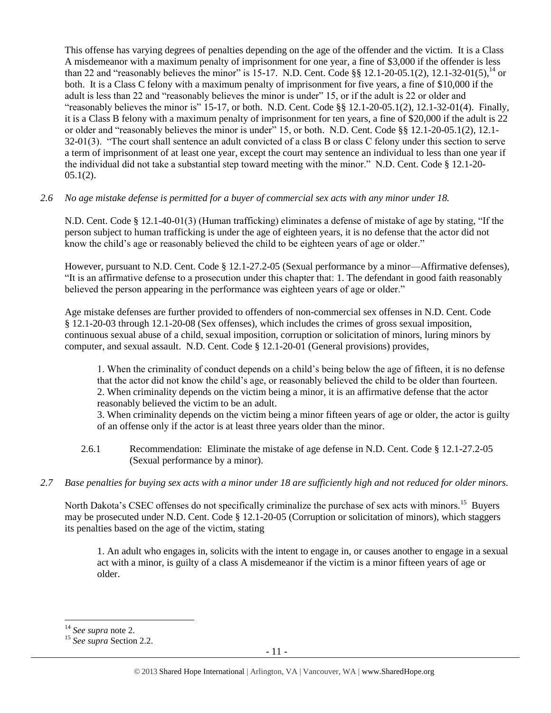This offense has varying degrees of penalties depending on the age of the offender and the victim. It is a Class A misdemeanor with a maximum penalty of imprisonment for one year, a fine of \$3,000 if the offender is less than 22 and "reasonably believes the minor" is 15-17. N.D. Cent. Code §§ 12.1-20-05.1(2), 12.1-32-01(5),  $^{14}$  or both. It is a Class C felony with a maximum penalty of imprisonment for five years, a fine of \$10,000 if the adult is less than 22 and "reasonably believes the minor is under" 15, or if the adult is 22 or older and "reasonably believes the minor is" 15-17, or both. N.D. Cent. Code  $\S$ § 12.1-20-05.1(2), 12.1-32-01(4). Finally, it is a Class B felony with a maximum penalty of imprisonment for ten years, a fine of \$20,000 if the adult is 22 or older and "reasonably believes the minor is under" 15, or both. N.D. Cent. Code §§ 12.1-20-05.1(2), 12.1- 32-01(3). "The court shall sentence an adult convicted of a class B or class C felony under this section to serve a term of imprisonment of at least one year, except the court may sentence an individual to less than one year if the individual did not take a substantial step toward meeting with the minor." N.D. Cent. Code § 12.1-20-  $05.1(2)$ .

## *2.6 No age mistake defense is permitted for a buyer of commercial sex acts with any minor under 18.*

N.D. Cent. Code § 12.1-40-01(3) (Human trafficking) eliminates a defense of mistake of age by stating, "If the person subject to human trafficking is under the age of eighteen years, it is no defense that the actor did not know the child's age or reasonably believed the child to be eighteen years of age or older."

However, pursuant to N.D. Cent. Code § 12.1-27.2-05 (Sexual performance by a minor—Affirmative defenses), "It is an affirmative defense to a prosecution under this chapter that: 1. The defendant in good faith reasonably believed the person appearing in the performance was eighteen years of age or older."

Age mistake defenses are further provided to offenders of non-commercial sex offenses in N.D. Cent. Code § 12.1-20-03 through 12.1-20-08 (Sex offenses), which includes the crimes of gross sexual imposition, continuous sexual abuse of a child, sexual imposition, corruption or solicitation of minors, luring minors by computer, and sexual assault. N.D. Cent. Code § 12.1-20-01 (General provisions) provides,

1. When the criminality of conduct depends on a child's being below the age of fifteen, it is no defense that the actor did not know the child's age, or reasonably believed the child to be older than fourteen. 2. When criminality depends on the victim being a minor, it is an affirmative defense that the actor reasonably believed the victim to be an adult.

3. When criminality depends on the victim being a minor fifteen years of age or older, the actor is guilty of an offense only if the actor is at least three years older than the minor.

- 2.6.1 Recommendation: Eliminate the mistake of age defense in N.D. Cent. Code § 12.1-27.2-05 (Sexual performance by a minor).
- *2.7 Base penalties for buying sex acts with a minor under 18 are sufficiently high and not reduced for older minors.*

North Dakota's CSEC offenses do not specifically criminalize the purchase of sex acts with minors.<sup>15</sup> Buyers may be prosecuted under N.D. Cent. Code § 12.1-20-05 (Corruption or solicitation of minors), which staggers its penalties based on the age of the victim, stating

1. An adult who engages in, solicits with the intent to engage in, or causes another to engage in a sexual act with a minor, is guilty of a class A misdemeanor if the victim is a minor fifteen years of age or older.

<sup>14</sup> *See supra* note [2.](#page-1-0)

<sup>15</sup> *See supra* Section 2.2.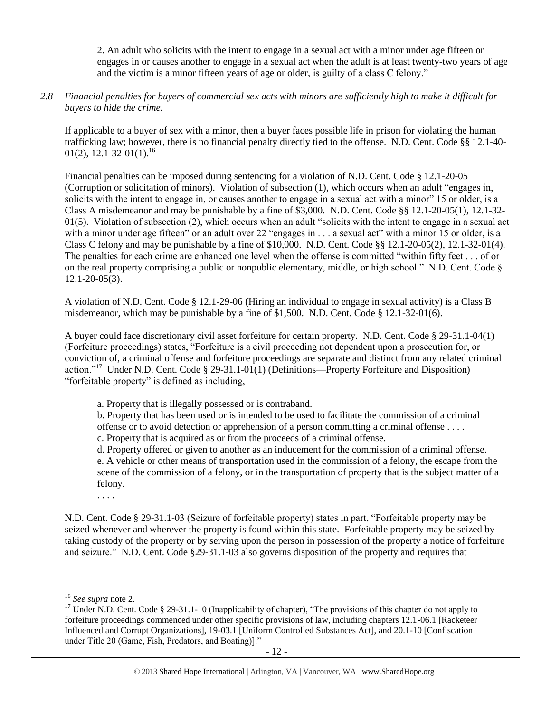2. An adult who solicits with the intent to engage in a sexual act with a minor under age fifteen or engages in or causes another to engage in a sexual act when the adult is at least twenty-two years of age and the victim is a minor fifteen years of age or older, is guilty of a class C felony."

#### *2.8 Financial penalties for buyers of commercial sex acts with minors are sufficiently high to make it difficult for buyers to hide the crime.*

If applicable to a buyer of sex with a minor, then a buyer faces possible life in prison for violating the human trafficking law; however, there is no financial penalty directly tied to the offense. N.D. Cent. Code §§ 12.1-40- 01(2), 12.1-32-01(1).<sup>16</sup>

Financial penalties can be imposed during sentencing for a violation of N.D. Cent. Code § 12.1-20-05 (Corruption or solicitation of minors). Violation of subsection (1), which occurs when an adult "engages in, solicits with the intent to engage in, or causes another to engage in a sexual act with a minor" 15 or older, is a Class A misdemeanor and may be punishable by a fine of \$3,000. N.D. Cent. Code §§ 12.1-20-05(1), 12.1-32-  $01(5)$ . Violation of subsection (2), which occurs when an adult "solicits with the intent to engage in a sexual act with a minor under age fifteen" or an adult over 22 "engages in . . . a sexual act" with a minor 15 or older, is a Class C felony and may be punishable by a fine of \$10,000. N.D. Cent. Code §§ 12.1-20-05(2), 12.1-32-01(4). The penalties for each crime are enhanced one level when the offense is committed "within fifty feet . . . of or on the real property comprising a public or nonpublic elementary, middle, or high school." N.D. Cent. Code § 12.1-20-05(3).

A violation of N.D. Cent. Code § 12.1-29-06 (Hiring an individual to engage in sexual activity) is a Class B misdemeanor, which may be punishable by a fine of \$1,500. N.D. Cent. Code § 12.1-32-01(6).

A buyer could face discretionary civil asset forfeiture for certain property. N.D. Cent. Code § 29-31.1-04(1) (Forfeiture proceedings) states, "Forfeiture is a civil proceeding not dependent upon a prosecution for, or conviction of, a criminal offense and forfeiture proceedings are separate and distinct from any related criminal action."<sup>17</sup> Under N.D. Cent. Code § 29-31.1-01(1) (Definitions—Property Forfeiture and Disposition) "forfeitable property" is defined as including,

<span id="page-11-0"></span>a. Property that is illegally possessed or is contraband.

b. Property that has been used or is intended to be used to facilitate the commission of a criminal offense or to avoid detection or apprehension of a person committing a criminal offense . . . . c. Property that is acquired as or from the proceeds of a criminal offense.

d. Property offered or given to another as an inducement for the commission of a criminal offense. e. A vehicle or other means of transportation used in the commission of a felony, the escape from the scene of the commission of a felony, or in the transportation of property that is the subject matter of a felony.

. . . .

N.D. Cent. Code § 29-31.1-03 (Seizure of forfeitable property) states in part, "Forfeitable property may be seized whenever and wherever the property is found within this state. Forfeitable property may be seized by taking custody of the property or by serving upon the person in possession of the property a notice of forfeiture and seizure." N.D. Cent. Code §29-31.1-03 also governs disposition of the property and requires that

<sup>16</sup> *See supra* note [2.](#page-1-0)

<sup>&</sup>lt;sup>17</sup> Under N.D. Cent. Code § 29-31.1-10 (Inapplicability of chapter), "The provisions of this chapter do not apply to forfeiture proceedings commenced under other specific provisions of law, including chapters 12.1-06.1 [Racketeer Influenced and Corrupt Organizations], 19-03.1 [Uniform Controlled Substances Act], and 20.1-10 [Confiscation under Title 20 (Game, Fish, Predators, and Boating)]."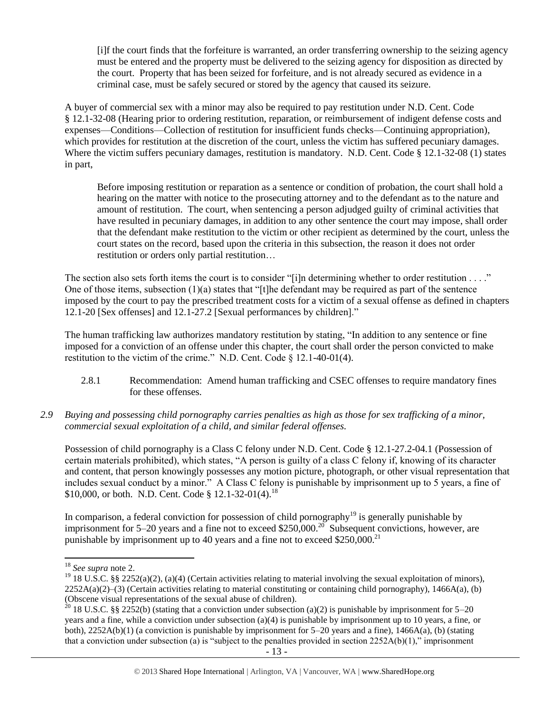[i]f the court finds that the forfeiture is warranted, an order transferring ownership to the seizing agency must be entered and the property must be delivered to the seizing agency for disposition as directed by the court. Property that has been seized for forfeiture, and is not already secured as evidence in a criminal case, must be safely secured or stored by the agency that caused its seizure.

A buyer of commercial sex with a minor may also be required to pay restitution under N.D. Cent. Code § 12.1-32-08 (Hearing prior to ordering restitution, reparation, or reimbursement of indigent defense costs and expenses—Conditions—Collection of restitution for insufficient funds checks—Continuing appropriation), which provides for restitution at the discretion of the court, unless the victim has suffered pecuniary damages. Where the victim suffers pecuniary damages, restitution is mandatory. N.D. Cent. Code § 12.1-32-08 (1) states in part,

Before imposing restitution or reparation as a sentence or condition of probation, the court shall hold a hearing on the matter with notice to the prosecuting attorney and to the defendant as to the nature and amount of restitution. The court, when sentencing a person adjudged guilty of criminal activities that have resulted in pecuniary damages, in addition to any other sentence the court may impose, shall order that the defendant make restitution to the victim or other recipient as determined by the court, unless the court states on the record, based upon the criteria in this subsection, the reason it does not order restitution or orders only partial restitution…

The section also sets forth items the court is to consider "[i]n determining whether to order restitution  $\dots$ ." One of those items, subsection  $(1)(a)$  states that "[t]he defendant may be required as part of the sentence imposed by the court to pay the prescribed treatment costs for a victim of a sexual offense as defined in chapters 12.1-20 [Sex offenses] and 12.1-27.2 [Sexual performances by children]."

The human trafficking law authorizes mandatory restitution by stating, "In addition to any sentence or fine imposed for a conviction of an offense under this chapter, the court shall order the person convicted to make restitution to the victim of the crime." N.D. Cent. Code § 12.1-40-01(4).

- 2.8.1 Recommendation: Amend human trafficking and CSEC offenses to require mandatory fines for these offenses.
- *2.9 Buying and possessing child pornography carries penalties as high as those for sex trafficking of a minor, commercial sexual exploitation of a child, and similar federal offenses.*

Possession of child pornography is a Class C felony under N.D. Cent. Code § 12.1-27.2-04.1 (Possession of certain materials prohibited), which states, "A person is guilty of a class C felony if, knowing of its character and content, that person knowingly possesses any motion picture, photograph, or other visual representation that includes sexual conduct by a minor." A Class C felony is punishable by imprisonment up to 5 years, a fine of \$10,000, or both. N.D. Cent. Code § 12.1-32-01(4).<sup>18</sup>

In comparison, a federal conviction for possession of child pornography<sup>19</sup> is generally punishable by imprisonment for 5–20 years and a fine not to exceed \$250,000.<sup>20</sup> Subsequent convictions, however, are punishable by imprisonment up to 40 years and a fine not to exceed \$250,000.<sup>21</sup>

<sup>18</sup> *See supra* note [2.](#page-1-0)

<sup>&</sup>lt;sup>19</sup> 18 U.S.C. §§ 2252(a)(2), (a)(4) (Certain activities relating to material involving the sexual exploitation of minors),  $2252A(a)(2)$ –(3) (Certain activities relating to material constituting or containing child pornography), 1466A(a), (b) (Obscene visual representations of the sexual abuse of children).

<sup>&</sup>lt;sup>20</sup> 18 U.S.C. §§ 2252(b) (stating that a conviction under subsection (a)(2) is punishable by imprisonment for 5–20 years and a fine, while a conviction under subsection (a)(4) is punishable by imprisonment up to 10 years, a fine, or both),  $2252A(b)(1)$  (a conviction is punishable by imprisonment for  $5-20$  years and a fine),  $1466A(a)$ , (b) (stating that a conviction under subsection (a) is "subject to the penalties provided in section  $2252A(b)(1)$ ," imprisonment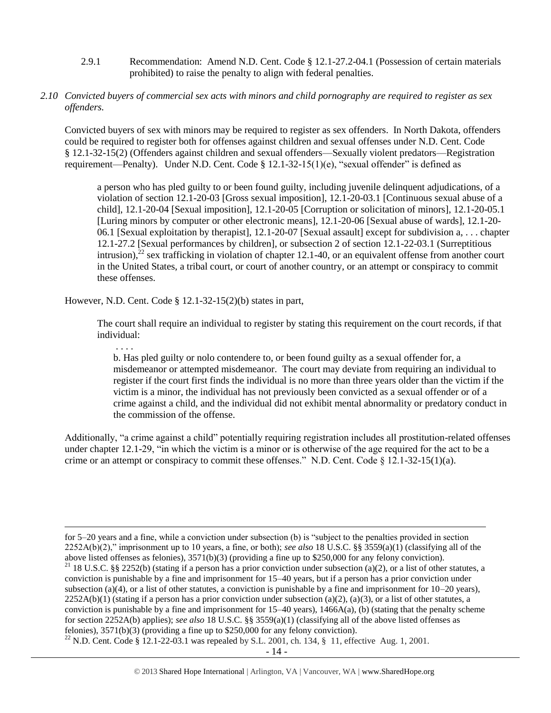- 2.9.1 Recommendation: Amend N.D. Cent. Code § 12.1-27.2-04.1 (Possession of certain materials prohibited) to raise the penalty to align with federal penalties.
- *2.10 Convicted buyers of commercial sex acts with minors and child pornography are required to register as sex offenders.*

Convicted buyers of sex with minors may be required to register as sex offenders. In North Dakota, offenders could be required to register both for offenses against children and sexual offenses under N.D. Cent. Code § 12.1-32-15(2) (Offenders against children and sexual offenders—Sexually violent predators—Registration requirement—Penalty). Under N.D. Cent. Code § 12.1-32-15(1)(e), "sexual offender" is defined as

<span id="page-13-0"></span>a person who has pled guilty to or been found guilty, including juvenile delinquent adjudications, of a violation of section 12.1-20-03 [Gross sexual imposition], 12.1-20-03.1 [Continuous sexual abuse of a child], 12.1-20-04 [Sexual imposition], 12.1-20-05 [Corruption or solicitation of minors], 12.1-20-05.1 [Luring minors by computer or other electronic means], 12.1-20-06 [Sexual abuse of wards], 12.1-20- 06.1 [Sexual exploitation by therapist], 12.1-20-07 [Sexual assault] except for subdivision a, . . . chapter 12.1-27.2 [Sexual performances by children], or subsection 2 of section 12.1-22-03.1 (Surreptitious intrusion),<sup>22</sup> sex trafficking in violation of chapter 12.1-40, or an equivalent offense from another court in the United States, a tribal court, or court of another country, or an attempt or conspiracy to commit these offenses.

However, N.D. Cent. Code § 12.1-32-15(2)(b) states in part,

The court shall require an individual to register by stating this requirement on the court records, if that individual:

. . . .

 $\overline{\phantom{a}}$ 

b. Has pled guilty or nolo contendere to, or been found guilty as a sexual offender for, a misdemeanor or attempted misdemeanor. The court may deviate from requiring an individual to register if the court first finds the individual is no more than three years older than the victim if the victim is a minor, the individual has not previously been convicted as a sexual offender or of a crime against a child, and the individual did not exhibit mental abnormality or predatory conduct in the commission of the offense.

Additionally, "a crime against a child" potentially requiring registration includes all prostitution-related offenses under chapter 12.1-29, "in which the victim is a minor or is otherwise of the age required for the act to be a crime or an attempt or conspiracy to commit these offenses." N.D. Cent. Code § 12.1-32-15(1)(a).

for 5–20 years and a fine, while a conviction under subsection (b) is "subject to the penalties provided in section 2252A(b)(2)," imprisonment up to 10 years, a fine, or both); *see also* 18 U.S.C. §§ 3559(a)(1) (classifying all of the above listed offenses as felonies), 3571(b)(3) (providing a fine up to \$250,000 for any felony conviction). <sup>21</sup> 18 U.S.C. §§ 2252(b) (stating if a person has a prior conviction under subsection (a)(2), or a list of other statutes, a conviction is punishable by a fine and imprisonment for 15–40 years, but if a person has a prior conviction under subsection (a)(4), or a list of other statutes, a conviction is punishable by a fine and imprisonment for  $10-20$  years),  $2252A(b)(1)$  (stating if a person has a prior conviction under subsection (a)(2), (a)(3), or a list of other statutes, a conviction is punishable by a fine and imprisonment for  $15-40$  years),  $1466A(a)$ , (b) (stating that the penalty scheme for section 2252A(b) applies); *see also* 18 U.S.C. §§ 3559(a)(1) (classifying all of the above listed offenses as felonies), 3571(b)(3) (providing a fine up to \$250,000 for any felony conviction).

<sup>&</sup>lt;sup>22</sup> N.D. Cent. Code § 12.1-22-03.1 was repealed by S.L. 2001, ch. 134, § 11, effective Aug. 1, 2001.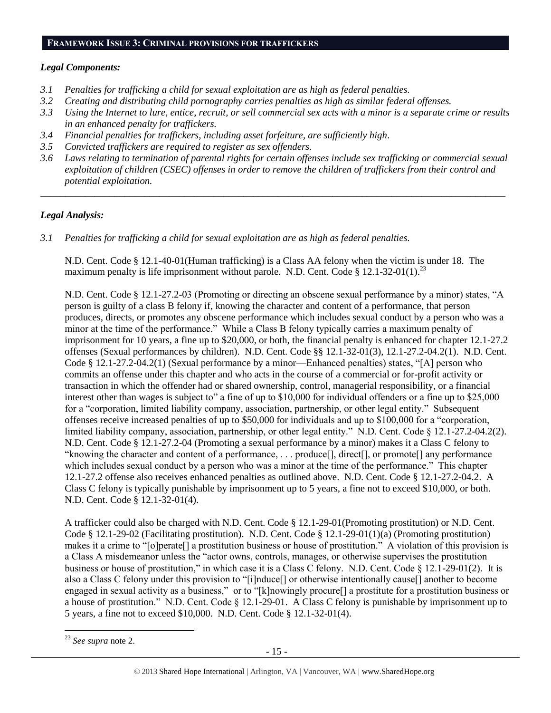#### **FRAMEWORK ISSUE 3: CRIMINAL PROVISIONS FOR TRAFFICKERS**

#### *Legal Components:*

- *3.1 Penalties for trafficking a child for sexual exploitation are as high as federal penalties.*
- *3.2 Creating and distributing child pornography carries penalties as high as similar federal offenses.*
- *3.3 Using the Internet to lure, entice, recruit, or sell commercial sex acts with a minor is a separate crime or results in an enhanced penalty for traffickers.*
- *3.4 Financial penalties for traffickers, including asset forfeiture, are sufficiently high*.
- *3.5 Convicted traffickers are required to register as sex offenders.*
- *3.6 Laws relating to termination of parental rights for certain offenses include sex trafficking or commercial sexual exploitation of children (CSEC) offenses in order to remove the children of traffickers from their control and potential exploitation.*

*\_\_\_\_\_\_\_\_\_\_\_\_\_\_\_\_\_\_\_\_\_\_\_\_\_\_\_\_\_\_\_\_\_\_\_\_\_\_\_\_\_\_\_\_\_\_\_\_\_\_\_\_\_\_\_\_\_\_\_\_\_\_\_\_\_\_\_\_\_\_\_\_\_\_\_\_\_\_\_\_\_\_\_\_\_\_\_\_\_\_\_\_\_\_*

## *Legal Analysis:*

*3.1 Penalties for trafficking a child for sexual exploitation are as high as federal penalties.* 

N.D. Cent. Code § 12.1-40-01(Human trafficking) is a Class AA felony when the victim is under 18. The maximum penalty is life imprisonment without parole. N.D. Cent. Code § 12.1-32-01(1).<sup>23</sup>

N.D. Cent. Code § 12.1-27.2-03 (Promoting or directing an obscene sexual performance by a minor) states, "A person is guilty of a class B felony if, knowing the character and content of a performance, that person produces, directs, or promotes any obscene performance which includes sexual conduct by a person who was a minor at the time of the performance." While a Class B felony typically carries a maximum penalty of imprisonment for 10 years, a fine up to \$20,000, or both, the financial penalty is enhanced for chapter 12.1-27.2 offenses (Sexual performances by children). N.D. Cent. Code §§ 12.1-32-01(3), 12.1-27.2-04.2(1). N.D. Cent. Code § 12.1-27.2-04.2(1) (Sexual performance by a minor—Enhanced penalties) states, "[A] person who commits an offense under this chapter and who acts in the course of a commercial or for-profit activity or transaction in which the offender had or shared ownership, control, managerial responsibility, or a financial interest other than wages is subject to" a fine of up to \$10,000 for individual offenders or a fine up to \$25,000 for a "corporation, limited liability company, association, partnership, or other legal entity." Subsequent offenses receive increased penalties of up to \$50,000 for individuals and up to \$100,000 for a "corporation, limited liability company, association, partnership, or other legal entity." N.D. Cent. Code § 12.1-27.2-04.2(2). N.D. Cent. Code § 12.1-27.2-04 (Promoting a sexual performance by a minor) makes it a Class C felony to "knowing the character and content of a performance, . . . produce[], direct[], or promote[] any performance which includes sexual conduct by a person who was a minor at the time of the performance." This chapter 12.1-27.2 offense also receives enhanced penalties as outlined above. N.D. Cent. Code § 12.1-27.2-04.2. A Class C felony is typically punishable by imprisonment up to 5 years, a fine not to exceed \$10,000, or both. N.D. Cent. Code § 12.1-32-01(4).

A trafficker could also be charged with N.D. Cent. Code § 12.1-29-01(Promoting prostitution) or N.D. Cent. Code § 12.1-29-02 (Facilitating prostitution). N.D. Cent. Code § 12.1-29-01(1)(a) (Promoting prostitution) makes it a crime to "[o]perate[] a prostitution business or house of prostitution." A violation of this provision is a Class A misdemeanor unless the "actor owns, controls, manages, or otherwise supervises the prostitution business or house of prostitution," in which case it is a Class C felony. N.D. Cent. Code § 12.1-29-01(2). It is also a Class C felony under this provision to "[i]nduce[] or otherwise intentionally cause[] another to become engaged in sexual activity as a business," or to "[k]nowingly procure[] a prostitute for a prostitution business or a house of prostitution." N.D. Cent. Code  $\S 12.1-29-01$ . A Class C felony is punishable by imprisonment up to 5 years, a fine not to exceed \$10,000. N.D. Cent. Code § 12.1-32-01(4).

 $\overline{\phantom{a}}$ <sup>23</sup> *See supra* note [2.](#page-1-0)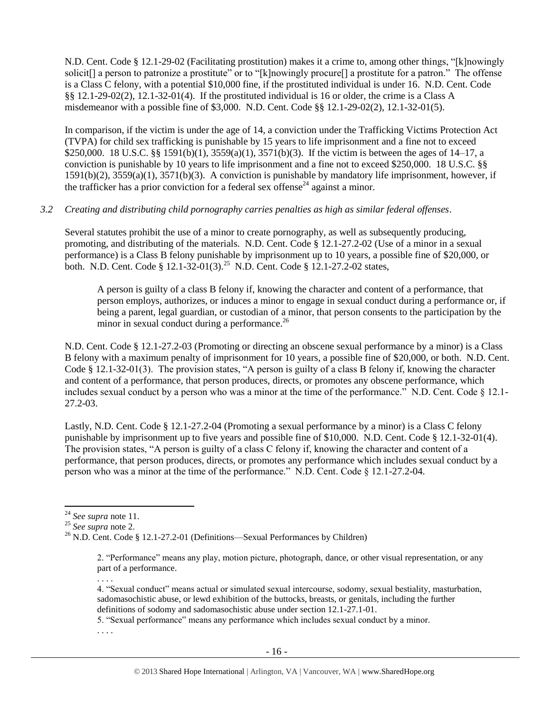N.D. Cent. Code § 12.1-29-02 (Facilitating prostitution) makes it a crime to, among other things, "[k]nowingly solicit[] a person to patronize a prostitute" or to "[k]nowingly procure[] a prostitute for a patron." The offense is a Class C felony, with a potential \$10,000 fine, if the prostituted individual is under 16. N.D. Cent. Code §§ 12.1-29-02(2), 12.1-32-01(4). If the prostituted individual is 16 or older, the crime is a Class A misdemeanor with a possible fine of \$3,000. N.D. Cent. Code §§ 12.1-29-02(2), 12.1-32-01(5).

In comparison, if the victim is under the age of 14, a conviction under the Trafficking Victims Protection Act (TVPA) for child sex trafficking is punishable by 15 years to life imprisonment and a fine not to exceed \$250,000. 18 U.S.C. §§ 1591(b)(1), 3559(a)(1), 3571(b)(3). If the victim is between the ages of 14–17, a conviction is punishable by 10 years to life imprisonment and a fine not to exceed \$250,000. 18 U.S.C. §§ 1591(b)(2), 3559(a)(1), 3571(b)(3). A conviction is punishable by mandatory life imprisonment, however, if the trafficker has a prior conviction for a federal sex offense<sup>24</sup> against a minor.

## *3.2 Creating and distributing child pornography carries penalties as high as similar federal offenses*.

Several statutes prohibit the use of a minor to create pornography, as well as subsequently producing, promoting, and distributing of the materials. N.D. Cent. Code § 12.1-27.2-02 (Use of a minor in a sexual performance) is a Class B felony punishable by imprisonment up to 10 years, a possible fine of \$20,000, or both. N.D. Cent. Code § 12.1-32-01(3).<sup>25</sup> N.D. Cent. Code § 12.1-27.2-02 states,

A person is guilty of a class B felony if, knowing the character and content of a performance, that person employs, authorizes, or induces a minor to engage in sexual conduct during a performance or, if being a parent, legal guardian, or custodian of a minor, that person consents to the participation by the minor in sexual conduct during a performance.<sup>26</sup>

N.D. Cent. Code § 12.1-27.2-03 (Promoting or directing an obscene sexual performance by a minor) is a Class B felony with a maximum penalty of imprisonment for 10 years, a possible fine of \$20,000, or both. N.D. Cent. Code § 12.1-32-01(3). The provision states, "A person is guilty of a class B felony if, knowing the character and content of a performance, that person produces, directs, or promotes any obscene performance, which includes sexual conduct by a person who was a minor at the time of the performance." N.D. Cent. Code § 12.1- 27.2-03.

Lastly, N.D. Cent. Code § 12.1-27.2-04 (Promoting a sexual performance by a minor) is a Class C felony punishable by imprisonment up to five years and possible fine of \$10,000. N.D. Cent. Code § 12.1-32-01(4). The provision states, "A person is guilty of a class C felony if, knowing the character and content of a performance, that person produces, directs, or promotes any performance which includes sexual conduct by a person who was a minor at the time of the performance." N.D. Cent. Code § 12.1-27.2-04.

 $\overline{\phantom{a}}$ 

. . . .

4. "Sexual conduct" means actual or simulated sexual intercourse, sodomy, sexual bestiality, masturbation, sadomasochistic abuse, or lewd exhibition of the buttocks, breasts, or genitals, including the further definitions of sodomy and sadomasochistic abuse under section 12.1-27.1-01.

5. "Sexual performance" means any performance which includes sexual conduct by a minor.

. . . .

<sup>24</sup> *See supra* note [11.](#page-9-0) 

<sup>25</sup> *See supra* note [2.](#page-1-0)

<sup>&</sup>lt;sup>26</sup> N.D. Cent. Code § 12.1-27.2-01 (Definitions—Sexual Performances by Children)

<sup>2. &</sup>quot;Performance" means any play, motion picture, photograph, dance, or other visual representation, or any part of a performance.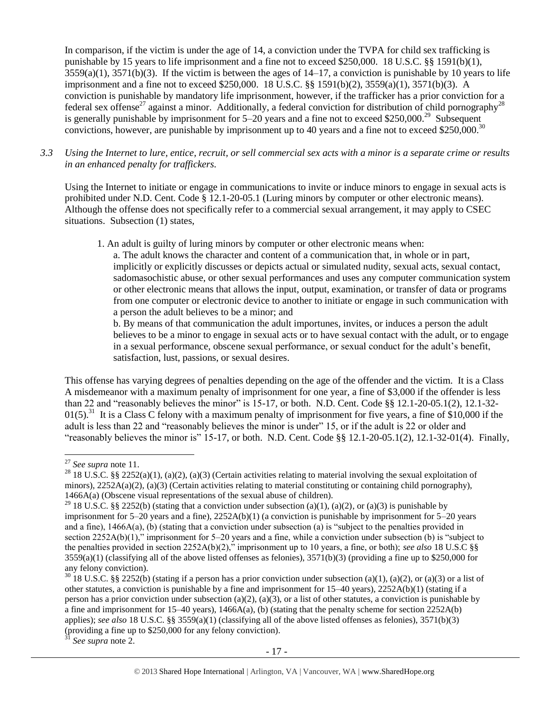In comparison, if the victim is under the age of 14, a conviction under the TVPA for child sex trafficking is punishable by 15 years to life imprisonment and a fine not to exceed \$250,000. 18 U.S.C. §§ 1591(b)(1),  $3559(a)(1)$ ,  $3571(b)(3)$ . If the victim is between the ages of  $14-17$ , a conviction is punishable by 10 years to life imprisonment and a fine not to exceed \$250,000. 18 U.S.C. §§ 1591(b)(2), 3559(a)(1), 3571(b)(3). A conviction is punishable by mandatory life imprisonment, however, if the trafficker has a prior conviction for a federal sex offense<sup>27</sup> against a minor. Additionally, a federal conviction for distribution of child pornography<sup>28</sup> is generally punishable by imprisonment for  $5-20$  years and a fine not to exceed \$250,000.<sup>29</sup> Subsequent convictions, however, are punishable by imprisonment up to 40 years and a fine not to exceed \$250,000.<sup>30</sup>

*3.3 Using the Internet to lure, entice, recruit, or sell commercial sex acts with a minor is a separate crime or results in an enhanced penalty for traffickers.*

Using the Internet to initiate or engage in communications to invite or induce minors to engage in sexual acts is prohibited under N.D. Cent. Code § 12.1-20-05.1 (Luring minors by computer or other electronic means). Although the offense does not specifically refer to a commercial sexual arrangement, it may apply to CSEC situations. Subsection (1) states,

1. An adult is guilty of luring minors by computer or other electronic means when:

a. The adult knows the character and content of a communication that, in whole or in part, implicitly or explicitly discusses or depicts actual or simulated nudity, sexual acts, sexual contact, sadomasochistic abuse, or other sexual performances and uses any computer communication system or other electronic means that allows the input, output, examination, or transfer of data or programs from one computer or electronic device to another to initiate or engage in such communication with a person the adult believes to be a minor; and

b. By means of that communication the adult importunes, invites, or induces a person the adult believes to be a minor to engage in sexual acts or to have sexual contact with the adult, or to engage in a sexual performance, obscene sexual performance, or sexual conduct for the adult's benefit, satisfaction, lust, passions, or sexual desires.

This offense has varying degrees of penalties depending on the age of the offender and the victim. It is a Class A misdemeanor with a maximum penalty of imprisonment for one year, a fine of \$3,000 if the offender is less than 22 and "reasonably believes the minor" is 15-17, or both. N.D. Cent. Code §§ 12.1-20-05.1(2), 12.1-32-  $01(5)$ .<sup>31</sup> It is a Class C felony with a maximum penalty of imprisonment for five years, a fine of \$10,000 if the adult is less than 22 and "reasonably believes the minor is under" 15, or if the adult is 22 or older and "reasonably believes the minor is" 15-17, or both. N.D. Cent. Code §§ 12.1-20-05.1(2), 12.1-32-01(4). Finally,

 $\overline{a}$ 

<sup>1</sup> See supra note [2.](#page-1-0)

<sup>27</sup> *See supra* note [11.](#page-9-0) 

<sup>&</sup>lt;sup>28</sup> 18 U.S.C. §§ 2252(a)(1), (a)(2), (a)(3) (Certain activities relating to material involving the sexual exploitation of minors),  $2252A(a)(2)$ ,  $(a)(3)$  (Certain activities relating to material constituting or containing child pornography), 1466A(a) (Obscene visual representations of the sexual abuse of children).

<sup>&</sup>lt;sup>29</sup> 18 U.S.C. §§ 2252(b) (stating that a conviction under subsection (a)(1), (a)(2), or (a)(3) is punishable by imprisonment for  $5-20$  years and a fine),  $2252A(b)(1)$  (a conviction is punishable by imprisonment for  $5-20$  years and a fine), 1466A(a), (b) (stating that a conviction under subsection (a) is "subject to the penalties provided in section 2252A(b)(1)," imprisonment for 5–20 years and a fine, while a conviction under subsection (b) is "subject to the penalties provided in section 2252A(b)(2)," imprisonment up to 10 years, a fine, or both); *see also* 18 U.S.C §§  $3559(a)(1)$  (classifying all of the above listed offenses as felonies),  $3571(b)(3)$  (providing a fine up to \$250,000 for any felony conviction).

<sup>&</sup>lt;sup>30</sup> 18 U.S.C. §§ 2252(b) (stating if a person has a prior conviction under subsection (a)(1), (a)(2), or (a)(3) or a list of other statutes, a conviction is punishable by a fine and imprisonment for 15–40 years), 2252A(b)(1) (stating if a person has a prior conviction under subsection (a)(2), (a)(3), or a list of other statutes, a conviction is punishable by a fine and imprisonment for 15–40 years), 1466A(a), (b) (stating that the penalty scheme for section 2252A(b) applies); *see also* 18 U.S.C. §§ 3559(a)(1) (classifying all of the above listed offenses as felonies), 3571(b)(3) (providing a fine up to \$250,000 for any felony conviction).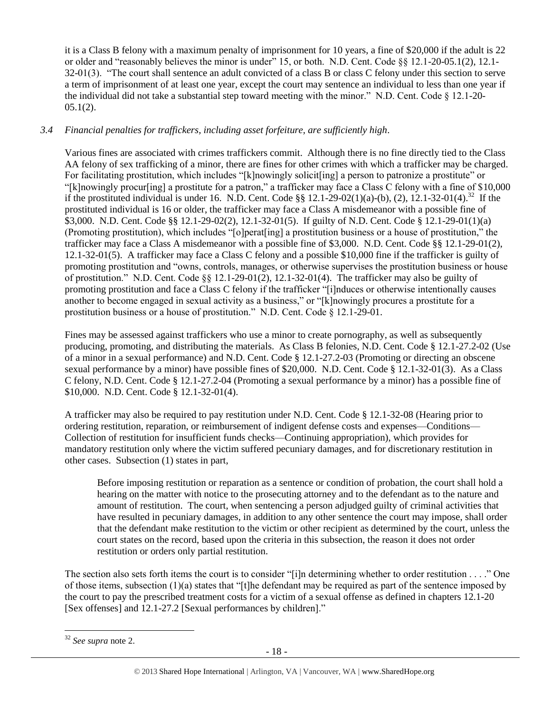it is a Class B felony with a maximum penalty of imprisonment for 10 years, a fine of \$20,000 if the adult is 22 or older and "reasonably believes the minor is under" 15, or both. N.D. Cent. Code §§ 12.1-20-05.1(2), 12.1- 32-01(3). "The court shall sentence an adult convicted of a class B or class C felony under this section to serve a term of imprisonment of at least one year, except the court may sentence an individual to less than one year if the individual did not take a substantial step toward meeting with the minor." N.D. Cent. Code  $\S$  12.1-20- $05.1(2)$ .

# *3.4 Financial penalties for traffickers, including asset forfeiture, are sufficiently high*.

Various fines are associated with crimes traffickers commit. Although there is no fine directly tied to the Class AA felony of sex trafficking of a minor, there are fines for other crimes with which a trafficker may be charged. For facilitating prostitution, which includes "[k]nowingly solicit[ing] a person to patronize a prostitute" or "[k]nowingly procur[ing] a prostitute for a patron," a trafficker may face a Class C felony with a fine of \$10,000 if the prostituted individual is under 16. N.D. Cent. Code  $\S$ § 12.1-29-02(1)(a)-(b), (2), 12.1-32-01(4).<sup>32</sup> If the prostituted individual is 16 or older, the trafficker may face a Class A misdemeanor with a possible fine of \$3,000. N.D. Cent. Code §§ 12.1-29-02(2), 12.1-32-01(5). If guilty of N.D. Cent. Code § 12.1-29-01(1)(a) (Promoting prostitution), which includes "[o]perat[ing] a prostitution business or a house of prostitution," the trafficker may face a Class A misdemeanor with a possible fine of \$3,000. N.D. Cent. Code §§ 12.1-29-01(2), 12.1-32-01(5). A trafficker may face a Class C felony and a possible \$10,000 fine if the trafficker is guilty of promoting prostitution and "owns, controls, manages, or otherwise supervises the prostitution business or house of prostitution." N.D. Cent. Code  $\S 12.1-29-01(2)$ , 12.1-32-01(4). The trafficker may also be guilty of promoting prostitution and face a Class C felony if the trafficker "[i]nduces or otherwise intentionally causes another to become engaged in sexual activity as a business," or "[k]nowingly procures a prostitute for a prostitution business or a house of prostitution." N.D. Cent. Code § 12.1-29-01.

Fines may be assessed against traffickers who use a minor to create pornography, as well as subsequently producing, promoting, and distributing the materials. As Class B felonies, N.D. Cent. Code § 12.1-27.2-02 (Use of a minor in a sexual performance) and N.D. Cent. Code § 12.1-27.2-03 (Promoting or directing an obscene sexual performance by a minor) have possible fines of \$20,000. N.D. Cent. Code § 12.1-32-01(3). As a Class C felony, N.D. Cent. Code § 12.1-27.2-04 (Promoting a sexual performance by a minor) has a possible fine of \$10,000. N.D. Cent. Code § 12.1-32-01(4).

A trafficker may also be required to pay restitution under N.D. Cent. Code § 12.1-32-08 (Hearing prior to ordering restitution, reparation, or reimbursement of indigent defense costs and expenses—Conditions— Collection of restitution for insufficient funds checks—Continuing appropriation), which provides for mandatory restitution only where the victim suffered pecuniary damages, and for discretionary restitution in other cases. Subsection (1) states in part,

Before imposing restitution or reparation as a sentence or condition of probation, the court shall hold a hearing on the matter with notice to the prosecuting attorney and to the defendant as to the nature and amount of restitution. The court, when sentencing a person adjudged guilty of criminal activities that have resulted in pecuniary damages, in addition to any other sentence the court may impose, shall order that the defendant make restitution to the victim or other recipient as determined by the court, unless the court states on the record, based upon the criteria in this subsection, the reason it does not order restitution or orders only partial restitution.

The section also sets forth items the court is to consider "[i]n determining whether to order restitution . . . ." One of those items, subsection  $(1)(a)$  states that "[t]he defendant may be required as part of the sentence imposed by the court to pay the prescribed treatment costs for a victim of a sexual offense as defined in chapters 12.1-20 [Sex offenses] and 12.1-27.2 [Sexual performances by children]."

 $\overline{\phantom{a}}$ <sup>32</sup> *See supra* note [2.](#page-1-0)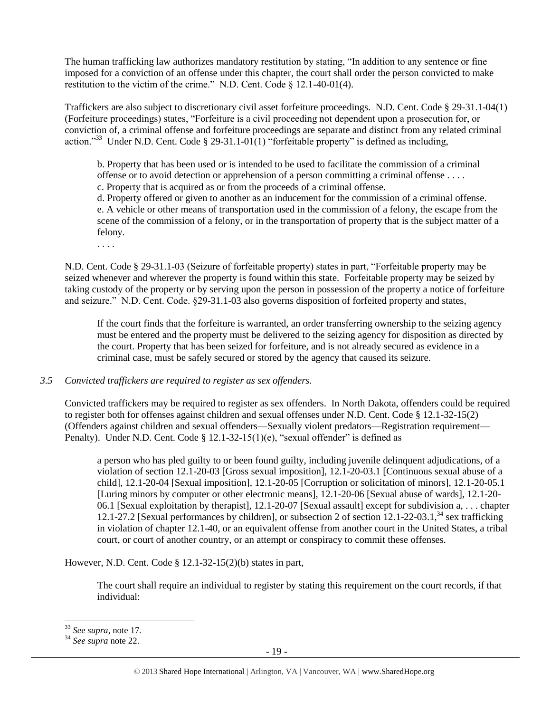The human trafficking law authorizes mandatory restitution by stating, "In addition to any sentence or fine imposed for a conviction of an offense under this chapter, the court shall order the person convicted to make restitution to the victim of the crime." N.D. Cent. Code § 12.1-40-01(4).

Traffickers are also subject to discretionary civil asset forfeiture proceedings. N.D. Cent. Code § 29-31.1-04(1) (Forfeiture proceedings) states, "Forfeiture is a civil proceeding not dependent upon a prosecution for, or conviction of, a criminal offense and forfeiture proceedings are separate and distinct from any related criminal action."<sup>33</sup> Under N.D. Cent. Code § 29-31.1-01(1) "forfeitable property" is defined as including,

b. Property that has been used or is intended to be used to facilitate the commission of a criminal offense or to avoid detection or apprehension of a person committing a criminal offense . . . . c. Property that is acquired as or from the proceeds of a criminal offense.

d. Property offered or given to another as an inducement for the commission of a criminal offense. e. A vehicle or other means of transportation used in the commission of a felony, the escape from the scene of the commission of a felony, or in the transportation of property that is the subject matter of a felony.

. . . .

N.D. Cent. Code § 29-31.1-03 (Seizure of forfeitable property) states in part, "Forfeitable property may be seized whenever and wherever the property is found within this state. Forfeitable property may be seized by taking custody of the property or by serving upon the person in possession of the property a notice of forfeiture and seizure." N.D. Cent. Code. §29-31.1-03 also governs disposition of forfeited property and states,

If the court finds that the forfeiture is warranted, an order transferring ownership to the seizing agency must be entered and the property must be delivered to the seizing agency for disposition as directed by the court. Property that has been seized for forfeiture, and is not already secured as evidence in a criminal case, must be safely secured or stored by the agency that caused its seizure.

#### *3.5 Convicted traffickers are required to register as sex offenders.*

Convicted traffickers may be required to register as sex offenders. In North Dakota, offenders could be required to register both for offenses against children and sexual offenses under N.D. Cent. Code § 12.1-32-15(2) (Offenders against children and sexual offenders—Sexually violent predators—Registration requirement— Penalty). Under N.D. Cent. Code  $\S$  12.1-32-15(1)(e), "sexual offender" is defined as

a person who has pled guilty to or been found guilty, including juvenile delinquent adjudications, of a violation of section 12.1-20-03 [Gross sexual imposition], 12.1-20-03.1 [Continuous sexual abuse of a child], 12.1-20-04 [Sexual imposition], 12.1-20-05 [Corruption or solicitation of minors], 12.1-20-05.1 [Luring minors by computer or other electronic means], 12.1-20-06 [Sexual abuse of wards], 12.1-20- 06.1 [Sexual exploitation by therapist], 12.1-20-07 [Sexual assault] except for subdivision a, . . . chapter 12.1-27.2 [Sexual performances by children], or subsection 2 of section 12.1-22-03.1,<sup>34</sup> sex trafficking in violation of chapter 12.1-40, or an equivalent offense from another court in the United States, a tribal court, or court of another country, or an attempt or conspiracy to commit these offenses.

However, N.D. Cent. Code § 12.1-32-15(2)(b) states in part,

The court shall require an individual to register by stating this requirement on the court records, if that individual:

<sup>33</sup> *See supra*, note [17](#page-11-0)*.*

<sup>34</sup> *See supra* note [22.](#page-13-0)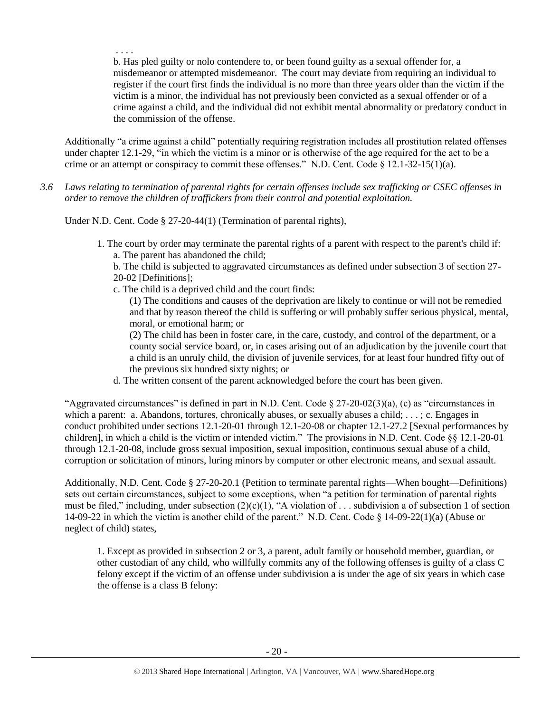. . . . b. Has pled guilty or nolo contendere to, or been found guilty as a sexual offender for, a misdemeanor or attempted misdemeanor. The court may deviate from requiring an individual to register if the court first finds the individual is no more than three years older than the victim if the victim is a minor, the individual has not previously been convicted as a sexual offender or of a crime against a child, and the individual did not exhibit mental abnormality or predatory conduct in the commission of the offense.

Additionally "a crime against a child" potentially requiring registration includes all prostitution related offenses under chapter 12.1-29, "in which the victim is a minor or is otherwise of the age required for the act to be a crime or an attempt or conspiracy to commit these offenses." N.D. Cent. Code § 12.1-32-15(1)(a).

*3.6 Laws relating to termination of parental rights for certain offenses include sex trafficking or CSEC offenses in order to remove the children of traffickers from their control and potential exploitation.* 

Under N.D. Cent. Code § 27-20-44(1) (Termination of parental rights),

1. The court by order may terminate the parental rights of a parent with respect to the parent's child if: a. The parent has abandoned the child;

b. The child is subjected to aggravated circumstances as defined under subsection 3 of section 27- 20-02 [Definitions];

- c. The child is a deprived child and the court finds:
	- (1) The conditions and causes of the deprivation are likely to continue or will not be remedied and that by reason thereof the child is suffering or will probably suffer serious physical, mental, moral, or emotional harm; or

(2) The child has been in foster care, in the care, custody, and control of the department, or a county social service board, or, in cases arising out of an adjudication by the juvenile court that a child is an unruly child, the division of juvenile services, for at least four hundred fifty out of the previous six hundred sixty nights; or

d. The written consent of the parent acknowledged before the court has been given.

"Aggravated circumstances" is defined in part in N.D. Cent. Code  $\S 27-20-02(3)(a)$ , (c) as "circumstances in which a parent: a. Abandons, tortures, chronically abuses, or sexually abuses a child; . . . ; c. Engages in conduct prohibited under sections 12.1-20-01 through 12.1-20-08 or chapter 12.1-27.2 [Sexual performances by children], in which a child is the victim or intended victim." The provisions in N.D. Cent. Code §§ 12.1-20-01 through 12.1-20-08, include gross sexual imposition, sexual imposition, continuous sexual abuse of a child, corruption or solicitation of minors, luring minors by computer or other electronic means, and sexual assault.

Additionally, N.D. Cent. Code § 27-20-20.1 (Petition to terminate parental rights—When bought—Definitions) sets out certain circumstances, subject to some exceptions, when "a petition for termination of parental rights must be filed," including, under subsection  $(2)(c)(1)$ , "A violation of ... subdivision a of subsection 1 of section 14-09-22 in which the victim is another child of the parent." N.D. Cent. Code § 14-09-22(1)(a) (Abuse or neglect of child) states,

1. Except as provided in subsection 2 or 3, a parent, adult family or household member, guardian, or other custodian of any child, who willfully commits any of the following offenses is guilty of a class C felony except if the victim of an offense under subdivision a is under the age of six years in which case the offense is a class B felony: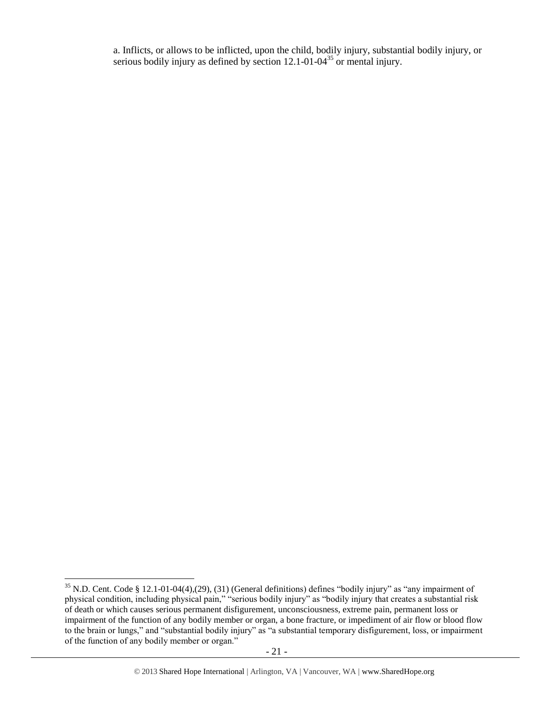a. Inflicts, or allows to be inflicted, upon the child, bodily injury, substantial bodily injury, or serious bodily injury as defined by section  $12.1$ -01-04<sup>35</sup> or mental injury.

l  $35$  N.D. Cent. Code § 12.1-01-04(4),(29), (31) (General definitions) defines "bodily injury" as "any impairment of physical condition, including physical pain," "serious bodily injury" as "bodily injury that creates a substantial risk of death or which causes serious permanent disfigurement, unconsciousness, extreme pain, permanent loss or impairment of the function of any bodily member or organ, a bone fracture, or impediment of air flow or blood flow to the brain or lungs," and "substantial bodily injury" as "a substantial temporary disfigurement, loss, or impairment of the function of any bodily member or organ."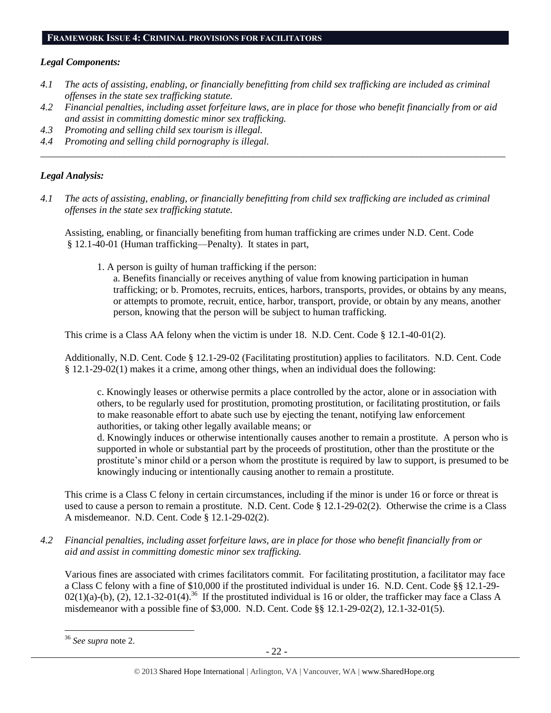## **FRAMEWORK ISSUE 4: CRIMINAL PROVISIONS FOR FACILITATORS**

# *Legal Components:*

- *4.1 The acts of assisting, enabling, or financially benefitting from child sex trafficking are included as criminal offenses in the state sex trafficking statute.*
- *4.2 Financial penalties, including asset forfeiture laws, are in place for those who benefit financially from or aid and assist in committing domestic minor sex trafficking.*

*\_\_\_\_\_\_\_\_\_\_\_\_\_\_\_\_\_\_\_\_\_\_\_\_\_\_\_\_\_\_\_\_\_\_\_\_\_\_\_\_\_\_\_\_\_\_\_\_\_\_\_\_\_\_\_\_\_\_\_\_\_\_\_\_\_\_\_\_\_\_\_\_\_\_\_\_\_\_\_\_\_\_\_\_\_\_\_\_\_\_\_\_\_\_*

- *4.3 Promoting and selling child sex tourism is illegal.*
- *4.4 Promoting and selling child pornography is illegal.*

# *Legal Analysis:*

*4.1 The acts of assisting, enabling, or financially benefitting from child sex trafficking are included as criminal offenses in the state sex trafficking statute.*

Assisting, enabling, or financially benefiting from human trafficking are crimes under N.D. Cent. Code § 12.1-40-01 (Human trafficking—Penalty). It states in part,

1. A person is guilty of human trafficking if the person:

a. Benefits financially or receives anything of value from knowing participation in human trafficking; or b. Promotes, recruits, entices, harbors, transports, provides, or obtains by any means, or attempts to promote, recruit, entice, harbor, transport, provide, or obtain by any means, another person, knowing that the person will be subject to human trafficking.

This crime is a Class AA felony when the victim is under 18. N.D. Cent. Code § 12.1-40-01(2).

Additionally, N.D. Cent. Code § 12.1-29-02 (Facilitating prostitution) applies to facilitators. N.D. Cent. Code § 12.1-29-02(1) makes it a crime, among other things, when an individual does the following:

c. Knowingly leases or otherwise permits a place controlled by the actor, alone or in association with others, to be regularly used for prostitution, promoting prostitution, or facilitating prostitution, or fails to make reasonable effort to abate such use by ejecting the tenant, notifying law enforcement authorities, or taking other legally available means; or

d. Knowingly induces or otherwise intentionally causes another to remain a prostitute. A person who is supported in whole or substantial part by the proceeds of prostitution, other than the prostitute or the prostitute's minor child or a person whom the prostitute is required by law to support, is presumed to be knowingly inducing or intentionally causing another to remain a prostitute.

This crime is a Class C felony in certain circumstances, including if the minor is under 16 or force or threat is used to cause a person to remain a prostitute. N.D. Cent. Code § 12.1-29-02(2). Otherwise the crime is a Class A misdemeanor. N.D. Cent. Code § 12.1-29-02(2).

*4.2 Financial penalties, including asset forfeiture laws, are in place for those who benefit financially from or aid and assist in committing domestic minor sex trafficking.*

Various fines are associated with crimes facilitators commit. For facilitating prostitution, a facilitator may face a Class C felony with a fine of \$10,000 if the prostituted individual is under 16. N.D. Cent. Code §§ 12.1-29-  $02(1)(a)-(b)$ ,  $(2)$ , 12.1-32-01(4).<sup>36</sup> If the prostituted individual is 16 or older, the trafficker may face a Class A misdemeanor with a possible fine of \$3,000. N.D. Cent. Code §§ 12.1-29-02(2), 12.1-32-01(5).

 $\overline{\phantom{a}}$ <sup>36</sup> *See supra* note [2.](#page-1-0)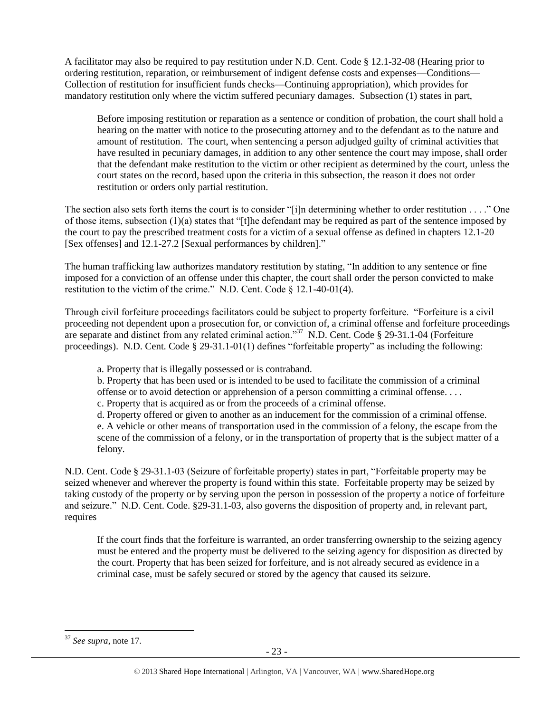A facilitator may also be required to pay restitution under N.D. Cent. Code § 12.1-32-08 (Hearing prior to ordering restitution, reparation, or reimbursement of indigent defense costs and expenses—Conditions— Collection of restitution for insufficient funds checks—Continuing appropriation), which provides for mandatory restitution only where the victim suffered pecuniary damages. Subsection (1) states in part,

Before imposing restitution or reparation as a sentence or condition of probation, the court shall hold a hearing on the matter with notice to the prosecuting attorney and to the defendant as to the nature and amount of restitution. The court, when sentencing a person adjudged guilty of criminal activities that have resulted in pecuniary damages, in addition to any other sentence the court may impose, shall order that the defendant make restitution to the victim or other recipient as determined by the court, unless the court states on the record, based upon the criteria in this subsection, the reason it does not order restitution or orders only partial restitution.

The section also sets forth items the court is to consider "[i]n determining whether to order restitution . . . ." One of those items, subsection  $(1)(a)$  states that "[t]he defendant may be required as part of the sentence imposed by the court to pay the prescribed treatment costs for a victim of a sexual offense as defined in chapters 12.1-20 [Sex offenses] and 12.1-27.2 [Sexual performances by children]."

The human trafficking law authorizes mandatory restitution by stating, "In addition to any sentence or fine imposed for a conviction of an offense under this chapter, the court shall order the person convicted to make restitution to the victim of the crime." N.D. Cent. Code § 12.1-40-01(4).

Through civil forfeiture proceedings facilitators could be subject to property forfeiture. "Forfeiture is a civil proceeding not dependent upon a prosecution for, or conviction of, a criminal offense and forfeiture proceedings are separate and distinct from any related criminal action."<sup>37</sup> N.D. Cent. Code § 29-31.1-04 (Forfeiture proceedings). N.D. Cent. Code § 29-31.1-01(1) defines "forfeitable property" as including the following:

a. Property that is illegally possessed or is contraband.

b. Property that has been used or is intended to be used to facilitate the commission of a criminal offense or to avoid detection or apprehension of a person committing a criminal offense. . . .

c. Property that is acquired as or from the proceeds of a criminal offense.

d. Property offered or given to another as an inducement for the commission of a criminal offense. e. A vehicle or other means of transportation used in the commission of a felony, the escape from the scene of the commission of a felony, or in the transportation of property that is the subject matter of a felony.

N.D. Cent. Code § 29-31.1-03 (Seizure of forfeitable property) states in part, "Forfeitable property may be seized whenever and wherever the property is found within this state. Forfeitable property may be seized by taking custody of the property or by serving upon the person in possession of the property a notice of forfeiture and seizure." N.D. Cent. Code. §29-31.1-03, also governs the disposition of property and, in relevant part, requires

If the court finds that the forfeiture is warranted, an order transferring ownership to the seizing agency must be entered and the property must be delivered to the seizing agency for disposition as directed by the court. Property that has been seized for forfeiture, and is not already secured as evidence in a criminal case, must be safely secured or stored by the agency that caused its seizure.

 $\overline{\phantom{a}}$ <sup>37</sup> *See supra*, note [17.](#page-11-0)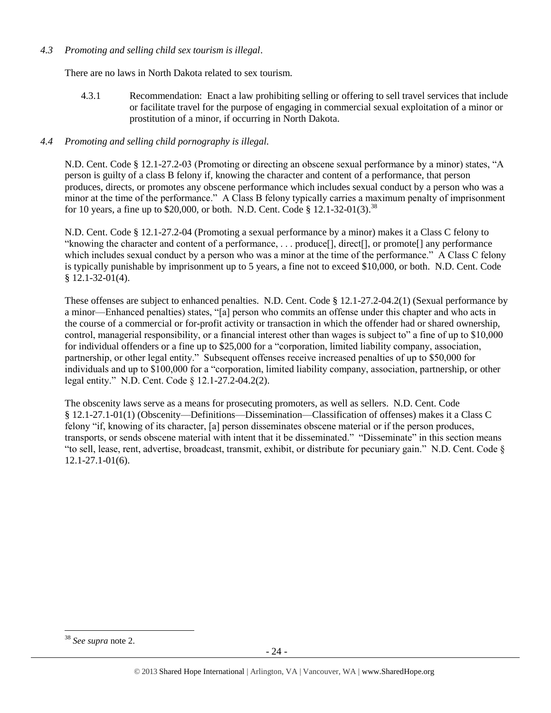## *4.3 Promoting and selling child sex tourism is illegal*.

There are no laws in North Dakota related to sex tourism.

4.3.1 Recommendation: Enact a law prohibiting selling or offering to sell travel services that include or facilitate travel for the purpose of engaging in commercial sexual exploitation of a minor or prostitution of a minor, if occurring in North Dakota.

## *4.4 Promoting and selling child pornography is illegal.*

N.D. Cent. Code § 12.1-27.2-03 (Promoting or directing an obscene sexual performance by a minor) states, "A person is guilty of a class B felony if, knowing the character and content of a performance, that person produces, directs, or promotes any obscene performance which includes sexual conduct by a person who was a minor at the time of the performance." A Class B felony typically carries a maximum penalty of imprisonment for 10 years, a fine up to \$20,000, or both. N.D. Cent. Code § 12.1-32-01(3).<sup>38</sup>

N.D. Cent. Code § 12.1-27.2-04 (Promoting a sexual performance by a minor) makes it a Class C felony to "knowing the character and content of a performance, . . . produce[], direct[], or promote[] any performance which includes sexual conduct by a person who was a minor at the time of the performance." A Class C felony is typically punishable by imprisonment up to 5 years, a fine not to exceed \$10,000, or both. N.D. Cent. Code § 12.1-32-01(4).

These offenses are subject to enhanced penalties. N.D. Cent. Code § 12.1-27.2-04.2(1) (Sexual performance by a minor—Enhanced penalties) states, "[a] person who commits an offense under this chapter and who acts in the course of a commercial or for-profit activity or transaction in which the offender had or shared ownership, control, managerial responsibility, or a financial interest other than wages is subject to" a fine of up to \$10,000 for individual offenders or a fine up to \$25,000 for a "corporation, limited liability company, association, partnership, or other legal entity." Subsequent offenses receive increased penalties of up to \$50,000 for individuals and up to \$100,000 for a "corporation, limited liability company, association, partnership, or other legal entity." N.D. Cent. Code § 12.1-27.2-04.2(2).

The obscenity laws serve as a means for prosecuting promoters, as well as sellers. N.D. Cent. Code § 12.1-27.1-01(1) (Obscenity—Definitions—Dissemination—Classification of offenses) makes it a Class C felony "if, knowing of its character, [a] person disseminates obscene material or if the person produces, transports, or sends obscene material with intent that it be disseminated." "Disseminate" in this section means "to sell, lease, rent, advertise, broadcast, transmit, exhibit, or distribute for pecuniary gain." N.D. Cent. Code § 12.1-27.1-01(6).

 $\overline{\phantom{a}}$ <sup>38</sup> *See supra* note [2.](#page-1-0)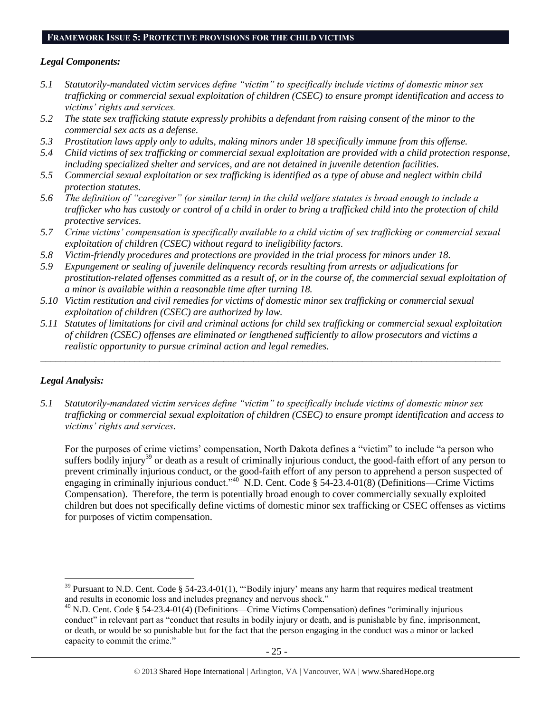#### **FRAMEWORK ISSUE 5: PROTECTIVE PROVISIONS FOR THE CHILD VICTIMS**

#### *Legal Components:*

- *5.1 Statutorily-mandated victim services define "victim" to specifically include victims of domestic minor sex trafficking or commercial sexual exploitation of children (CSEC) to ensure prompt identification and access to victims' rights and services.*
- *5.2 The state sex trafficking statute expressly prohibits a defendant from raising consent of the minor to the commercial sex acts as a defense.*
- *5.3 Prostitution laws apply only to adults, making minors under 18 specifically immune from this offense.*
- *5.4 Child victims of sex trafficking or commercial sexual exploitation are provided with a child protection response, including specialized shelter and services, and are not detained in juvenile detention facilities.*
- *5.5 Commercial sexual exploitation or sex trafficking is identified as a type of abuse and neglect within child protection statutes.*
- *5.6 The definition of "caregiver" (or similar term) in the child welfare statutes is broad enough to include a trafficker who has custody or control of a child in order to bring a trafficked child into the protection of child protective services.*
- *5.7 Crime victims' compensation is specifically available to a child victim of sex trafficking or commercial sexual exploitation of children (CSEC) without regard to ineligibility factors.*
- *5.8 Victim-friendly procedures and protections are provided in the trial process for minors under 18.*
- *5.9 Expungement or sealing of juvenile delinquency records resulting from arrests or adjudications for prostitution-related offenses committed as a result of, or in the course of, the commercial sexual exploitation of a minor is available within a reasonable time after turning 18.*
- *5.10 Victim restitution and civil remedies for victims of domestic minor sex trafficking or commercial sexual exploitation of children (CSEC) are authorized by law.*
- *5.11 Statutes of limitations for civil and criminal actions for child sex trafficking or commercial sexual exploitation of children (CSEC) offenses are eliminated or lengthened sufficiently to allow prosecutors and victims a realistic opportunity to pursue criminal action and legal remedies.*

*\_\_\_\_\_\_\_\_\_\_\_\_\_\_\_\_\_\_\_\_\_\_\_\_\_\_\_\_\_\_\_\_\_\_\_\_\_\_\_\_\_\_\_\_\_\_\_\_\_\_\_\_\_\_\_\_\_\_\_\_\_\_\_\_\_\_\_\_\_\_\_\_\_\_\_\_\_\_\_\_\_\_\_\_\_\_\_\_\_\_\_\_\_*

## *Legal Analysis:*

l

*5.1 Statutorily-mandated victim services define "victim" to specifically include victims of domestic minor sex trafficking or commercial sexual exploitation of children (CSEC) to ensure prompt identification and access to victims' rights and services.*

For the purposes of crime victims' compensation, North Dakota defines a "victim" to include "a person who suffers bodily injury<sup>39</sup> or death as a result of criminally injurious conduct, the good-faith effort of any person to prevent criminally injurious conduct, or the good-faith effort of any person to apprehend a person suspected of engaging in criminally injurious conduct."<sup>40</sup> N.D. Cent. Code § 54-23.4-01(8) (Definitions—Crime Victims Compensation). Therefore, the term is potentially broad enough to cover commercially sexually exploited children but does not specifically define victims of domestic minor sex trafficking or CSEC offenses as victims for purposes of victim compensation.

<sup>&</sup>lt;sup>39</sup> Pursuant to N.D. Cent. Code § 54-23.4-01(1), "Bodily injury' means any harm that requires medical treatment and results in economic loss and includes pregnancy and nervous shock."

<sup>40</sup> N.D. Cent. Code § 54-23.4-01(4) (Definitions—Crime Victims Compensation) defines "criminally injurious conduct" in relevant part as "conduct that results in bodily injury or death, and is punishable by fine, imprisonment, or death, or would be so punishable but for the fact that the person engaging in the conduct was a minor or lacked capacity to commit the crime."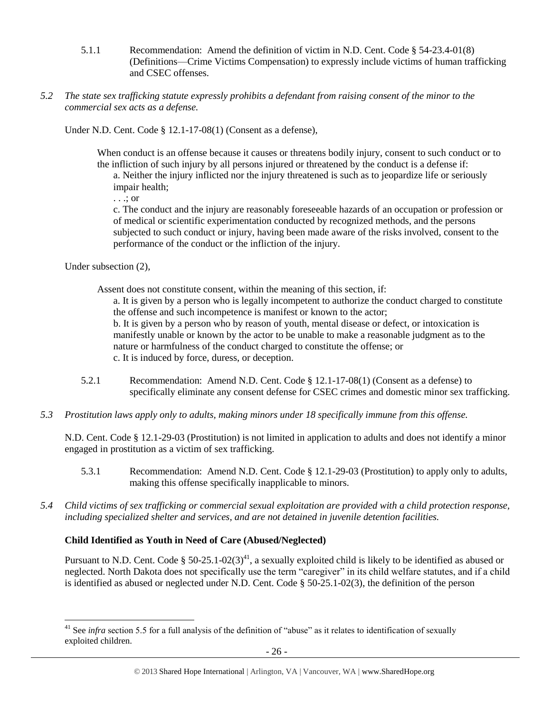- 5.1.1 Recommendation: Amend the definition of victim in N.D. Cent. Code § 54-23.4-01(8) (Definitions—Crime Victims Compensation) to expressly include victims of human trafficking and CSEC offenses.
- *5.2 The state sex trafficking statute expressly prohibits a defendant from raising consent of the minor to the commercial sex acts as a defense.*

Under N.D. Cent. Code § 12.1-17-08(1) (Consent as a defense),

When conduct is an offense because it causes or threatens bodily injury, consent to such conduct or to the infliction of such injury by all persons injured or threatened by the conduct is a defense if:

a. Neither the injury inflicted nor the injury threatened is such as to jeopardize life or seriously impair health;

. . .; or

c. The conduct and the injury are reasonably foreseeable hazards of an occupation or profession or of medical or scientific experimentation conducted by recognized methods, and the persons subjected to such conduct or injury, having been made aware of the risks involved, consent to the performance of the conduct or the infliction of the injury.

Under subsection (2),

 $\overline{\phantom{a}}$ 

Assent does not constitute consent, within the meaning of this section, if:

a. It is given by a person who is legally incompetent to authorize the conduct charged to constitute the offense and such incompetence is manifest or known to the actor;

b. It is given by a person who by reason of youth, mental disease or defect, or intoxication is manifestly unable or known by the actor to be unable to make a reasonable judgment as to the nature or harmfulness of the conduct charged to constitute the offense; or c. It is induced by force, duress, or deception.

- 5.2.1 Recommendation: Amend N.D. Cent. Code § 12.1-17-08(1) (Consent as a defense) to specifically eliminate any consent defense for CSEC crimes and domestic minor sex trafficking.
- *5.3 Prostitution laws apply only to adults, making minors under 18 specifically immune from this offense.*

N.D. Cent. Code § 12.1-29-03 (Prostitution) is not limited in application to adults and does not identify a minor engaged in prostitution as a victim of sex trafficking.

- 5.3.1 Recommendation: Amend N.D. Cent. Code § 12.1-29-03 (Prostitution) to apply only to adults, making this offense specifically inapplicable to minors.
- *5.4 Child victims of sex trafficking or commercial sexual exploitation are provided with a child protection response, including specialized shelter and services, and are not detained in juvenile detention facilities.*

## **Child Identified as Youth in Need of Care (Abused/Neglected)**

Pursuant to N.D. Cent. Code § 50-25.1-02(3)<sup>41</sup>, a sexually exploited child is likely to be identified as abused or neglected. North Dakota does not specifically use the term "caregiver" in its child welfare statutes, and if a child is identified as abused or neglected under N.D. Cent. Code § 50-25.1-02(3), the definition of the person

<sup>&</sup>lt;sup>41</sup> See *infra* section 5.5 for a full analysis of the definition of "abuse" as it relates to identification of sexually exploited children.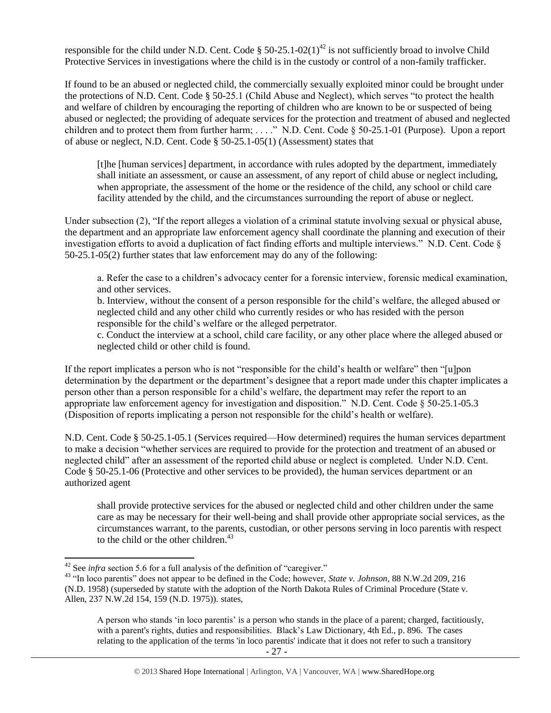responsible for the child under N.D. Cent. Code §  $50-25.1-02(1)^{42}$  is not sufficiently broad to involve Child Protective Services in investigations where the child is in the custody or control of a non-family trafficker.

If found to be an abused or neglected child, the commercially sexually exploited minor could be brought under the protections of N.D. Cent. Code § 50-25.1 (Child Abuse and Neglect), which serves "to protect the health and welfare of children by encouraging the reporting of children who are known to be or suspected of being abused or neglected; the providing of adequate services for the protection and treatment of abused and neglected children and to protect them from further harm; . . . ." N.D. Cent. Code § 50-25.1-01 (Purpose). Upon a report of abuse or neglect, N.D. Cent. Code § 50-25.1-05(1) (Assessment) states that

[t]he [human services] department, in accordance with rules adopted by the department, immediately shall initiate an assessment, or cause an assessment, of any report of child abuse or neglect including, when appropriate, the assessment of the home or the residence of the child, any school or child care facility attended by the child, and the circumstances surrounding the report of abuse or neglect.

Under subsection (2), "If the report alleges a violation of a criminal statute involving sexual or physical abuse, the department and an appropriate law enforcement agency shall coordinate the planning and execution of their investigation efforts to avoid a duplication of fact finding efforts and multiple interviews." N.D. Cent. Code § 50-25.1-05(2) further states that law enforcement may do any of the following:

a. Refer the case to a children's advocacy center for a forensic interview, forensic medical examination, and other services.

b. Interview, without the consent of a person responsible for the child's welfare, the alleged abused or neglected child and any other child who currently resides or who has resided with the person responsible for the child's welfare or the alleged perpetrator.

c. Conduct the interview at a school, child care facility, or any other place where the alleged abused or neglected child or other child is found.

If the report implicates a person who is not "responsible for the child's health or welfare" then "[u]pon determination by the department or the department's designee that a report made under this chapter implicates a person other than a person responsible for a child's welfare, the department may refer the report to an appropriate law enforcement agency for investigation and disposition." N.D. Cent. Code § 50-25.1-05.3 (Disposition of reports implicating a person not responsible for the child's health or welfare).

N.D. Cent. Code § 50-25.1-05.1 (Services required—How determined) requires the human services department to make a decision "whether services are required to provide for the protection and treatment of an abused or neglected child" after an assessment of the reported child abuse or neglect is completed. Under N.D. Cent. Code § 50-25.1-06 (Protective and other services to be provided), the human services department or an authorized agent

shall provide protective services for the abused or neglected child and other children under the same care as may be necessary for their well-being and shall provide other appropriate social services, as the circumstances warrant, to the parents, custodian, or other persons serving in loco parentis with respect to the child or the other children. $43$ 

<sup>&</sup>lt;sup>42</sup> See *infra* section 5.6 for a full analysis of the definition of "caregiver."

<sup>43</sup> "In loco parentis" does not appear to be defined in the Code; however, *State v. Johnson*, 88 N.W.2d 209, 216 (N.D. 1958) (superseded by statute with the adoption of the North Dakota Rules of Criminal Procedure (State v. Allen, 237 N.W.2d 154, 159 (N.D. 1975)). states,

A person who stands 'in loco parentis' is a person who stands in the place of a parent; charged, factitiously, with a parent's rights, duties and responsibilities. Black's Law Dictionary, 4th Ed., p. 896. The cases relating to the application of the terms 'in loco parentis' indicate that it does not refer to such a transitory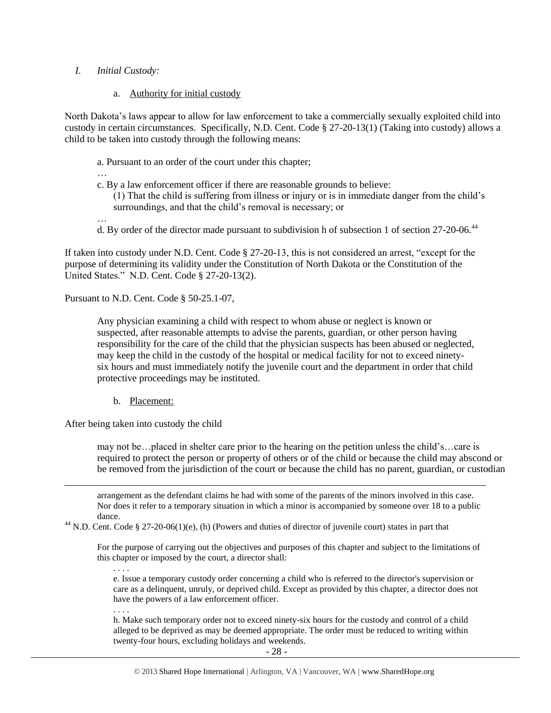#### *I. Initial Custody:*

#### a. Authority for initial custody

North Dakota's laws appear to allow for law enforcement to take a commercially sexually exploited child into custody in certain circumstances. Specifically, N.D. Cent. Code § 27-20-13(1) (Taking into custody) allows a child to be taken into custody through the following means:

- a. Pursuant to an order of the court under this chapter;
- …
- c. By a law enforcement officer if there are reasonable grounds to believe:

(1) That the child is suffering from illness or injury or is in immediate danger from the child's surroundings, and that the child's removal is necessary; or

- …
- d. By order of the director made pursuant to subdivision h of subsection 1 of section 27-20-06.<sup>44</sup>

If taken into custody under N.D. Cent. Code § 27-20-13, this is not considered an arrest, "except for the purpose of determining its validity under the Constitution of North Dakota or the Constitution of the United States." N.D. Cent. Code § 27-20-13(2).

Pursuant to N.D. Cent. Code § 50-25.1-07,

Any physician examining a child with respect to whom abuse or neglect is known or suspected, after reasonable attempts to advise the parents, guardian, or other person having responsibility for the care of the child that the physician suspects has been abused or neglected, may keep the child in the custody of the hospital or medical facility for not to exceed ninetysix hours and must immediately notify the juvenile court and the department in order that child protective proceedings may be instituted.

b. Placement:

After being taken into custody the child

may not be…placed in shelter care prior to the hearing on the petition unless the child's…care is required to protect the person or property of others or of the child or because the child may abscond or be removed from the jurisdiction of the court or because the child has no parent, guardian, or custodian

arrangement as the defendant claims he had with some of the parents of the minors involved in this case. Nor does it refer to a temporary situation in which a minor is accompanied by someone over 18 to a public dance.

<sup>44</sup> N.D. Cent. Code § 27-20-06(1)(e), (h) (Powers and duties of director of juvenile court) states in part that

For the purpose of carrying out the objectives and purposes of this chapter and subject to the limitations of this chapter or imposed by the court, a director shall:

e. Issue a temporary custody order concerning a child who is referred to the director's supervision or care as a delinquent, unruly, or deprived child. Except as provided by this chapter, a director does not have the powers of a law enforcement officer.

. . . .

. . . .

 $\overline{a}$ 

h. Make such temporary order not to exceed ninety-six hours for the custody and control of a child alleged to be deprived as may be deemed appropriate. The order must be reduced to writing within twenty-four hours, excluding holidays and weekends.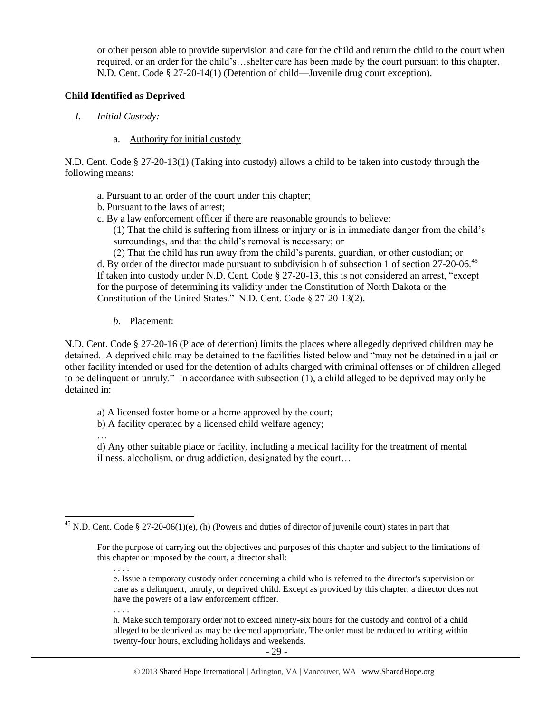or other person able to provide supervision and care for the child and return the child to the court when required, or an order for the child's…shelter care has been made by the court pursuant to this chapter. N.D. Cent. Code § 27-20-14(1) (Detention of child—Juvenile drug court exception).

#### **Child Identified as Deprived**

- *I. Initial Custody:* 
	- a. Authority for initial custody

N.D. Cent. Code § 27-20-13(1) (Taking into custody) allows a child to be taken into custody through the following means:

- a. Pursuant to an order of the court under this chapter;
- b. Pursuant to the laws of arrest;
- c. By a law enforcement officer if there are reasonable grounds to believe:

(1) That the child is suffering from illness or injury or is in immediate danger from the child's surroundings, and that the child's removal is necessary; or

(2) That the child has run away from the child's parents, guardian, or other custodian; or d. By order of the director made pursuant to subdivision h of subsection 1 of section 27-20-06.<sup>45</sup> If taken into custody under N.D. Cent. Code § 27-20-13, this is not considered an arrest, "except for the purpose of determining its validity under the Constitution of North Dakota or the Constitution of the United States." N.D. Cent. Code § 27-20-13(2).

*b.* Placement:

N.D. Cent. Code § 27-20-16 (Place of detention) limits the places where allegedly deprived children may be detained. A deprived child may be detained to the facilities listed below and "may not be detained in a jail or other facility intended or used for the detention of adults charged with criminal offenses or of children alleged to be delinquent or unruly." In accordance with subsection (1), a child alleged to be deprived may only be detained in:

a) A licensed foster home or a home approved by the court;

b) A facility operated by a licensed child welfare agency;

… d) Any other suitable place or facility, including a medical facility for the treatment of mental illness, alcoholism, or drug addiction, designated by the court…

. . . .

. . . .

h. Make such temporary order not to exceed ninety-six hours for the custody and control of a child alleged to be deprived as may be deemed appropriate. The order must be reduced to writing within twenty-four hours, excluding holidays and weekends.

 $\overline{a}$ <sup>45</sup> N.D. Cent. Code § 27-20-06(1)(e), (h) (Powers and duties of director of juvenile court) states in part that

For the purpose of carrying out the objectives and purposes of this chapter and subject to the limitations of this chapter or imposed by the court, a director shall:

e. Issue a temporary custody order concerning a child who is referred to the director's supervision or care as a delinquent, unruly, or deprived child. Except as provided by this chapter, a director does not have the powers of a law enforcement officer.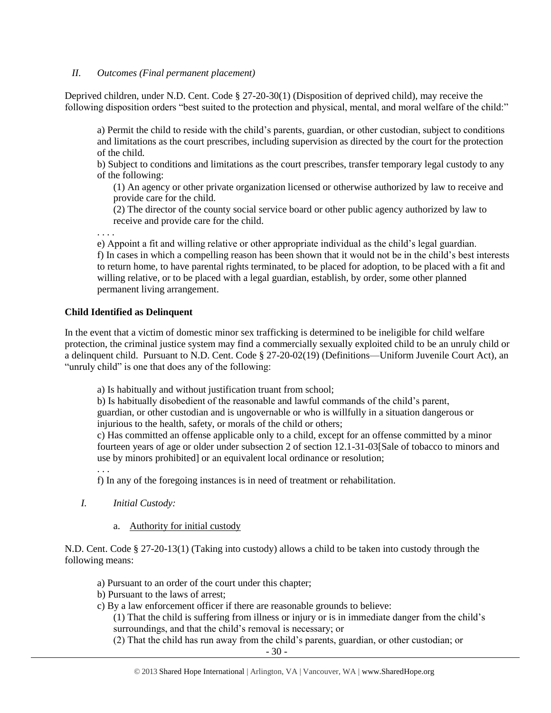#### *II. Outcomes (Final permanent placement)*

Deprived children, under N.D. Cent. Code § 27-20-30(1) (Disposition of deprived child), may receive the following disposition orders "best suited to the protection and physical, mental, and moral welfare of the child:"

a) Permit the child to reside with the child's parents, guardian, or other custodian, subject to conditions and limitations as the court prescribes, including supervision as directed by the court for the protection of the child.

b) Subject to conditions and limitations as the court prescribes, transfer temporary legal custody to any of the following:

(1) An agency or other private organization licensed or otherwise authorized by law to receive and provide care for the child.

(2) The director of the county social service board or other public agency authorized by law to receive and provide care for the child.

. . . .

e) Appoint a fit and willing relative or other appropriate individual as the child's legal guardian. f) In cases in which a compelling reason has been shown that it would not be in the child's best interests to return home, to have parental rights terminated, to be placed for adoption, to be placed with a fit and willing relative, or to be placed with a legal guardian, establish, by order, some other planned permanent living arrangement.

## **Child Identified as Delinquent**

In the event that a victim of domestic minor sex trafficking is determined to be ineligible for child welfare protection, the criminal justice system may find a commercially sexually exploited child to be an unruly child or a delinquent child. Pursuant to N.D. Cent. Code § 27-20-02(19) (Definitions—Uniform Juvenile Court Act), an "unruly child" is one that does any of the following:

a) Is habitually and without justification truant from school;

b) Is habitually disobedient of the reasonable and lawful commands of the child's parent, guardian, or other custodian and is ungovernable or who is willfully in a situation dangerous or injurious to the health, safety, or morals of the child or others;

c) Has committed an offense applicable only to a child, except for an offense committed by a minor fourteen years of age or older under subsection 2 of section 12.1-31-03[Sale of tobacco to minors and use by minors prohibited] or an equivalent local ordinance or resolution;

. . .

f) In any of the foregoing instances is in need of treatment or rehabilitation.

*I. Initial Custody:* 

## a. Authority for initial custody

N.D. Cent. Code § 27-20-13(1) (Taking into custody) allows a child to be taken into custody through the following means:

- a) Pursuant to an order of the court under this chapter;
- b) Pursuant to the laws of arrest;
- c) By a law enforcement officer if there are reasonable grounds to believe:

(1) That the child is suffering from illness or injury or is in immediate danger from the child's surroundings, and that the child's removal is necessary; or

(2) That the child has run away from the child's parents, guardian, or other custodian; or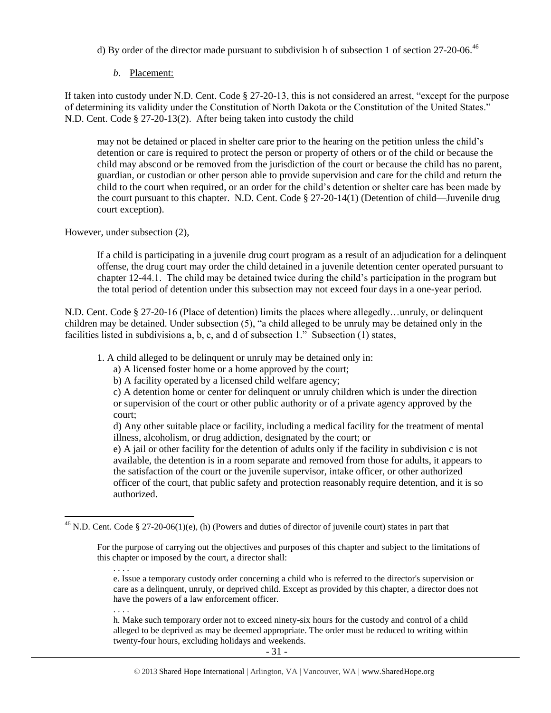d) By order of the director made pursuant to subdivision h of subsection 1 of section  $27-20-06$ .<sup>46</sup>

## *b.* Placement:

If taken into custody under N.D. Cent. Code § 27-20-13, this is not considered an arrest, "except for the purpose of determining its validity under the Constitution of North Dakota or the Constitution of the United States." N.D. Cent. Code § 27-20-13(2). After being taken into custody the child

may not be detained or placed in shelter care prior to the hearing on the petition unless the child's detention or care is required to protect the person or property of others or of the child or because the child may abscond or be removed from the jurisdiction of the court or because the child has no parent, guardian, or custodian or other person able to provide supervision and care for the child and return the child to the court when required, or an order for the child's detention or shelter care has been made by the court pursuant to this chapter. N.D. Cent. Code § 27-20-14(1) (Detention of child—Juvenile drug court exception).

However, under subsection (2),

If a child is participating in a juvenile drug court program as a result of an adjudication for a delinquent offense, the drug court may order the child detained in a juvenile detention center operated pursuant to chapter 12-44.1. The child may be detained twice during the child's participation in the program but the total period of detention under this subsection may not exceed four days in a one-year period.

N.D. Cent. Code § 27-20-16 (Place of detention) limits the places where allegedly…unruly, or delinquent children may be detained. Under subsection (5), "a child alleged to be unruly may be detained only in the facilities listed in subdivisions a, b, c, and d of subsection 1." Subsection (1) states,

1. A child alleged to be delinquent or unruly may be detained only in:

a) A licensed foster home or a home approved by the court;

b) A facility operated by a licensed child welfare agency;

c) A detention home or center for delinquent or unruly children which is under the direction or supervision of the court or other public authority or of a private agency approved by the court;

d) Any other suitable place or facility, including a medical facility for the treatment of mental illness, alcoholism, or drug addiction, designated by the court; or

e) A jail or other facility for the detention of adults only if the facility in subdivision c is not available, the detention is in a room separate and removed from those for adults, it appears to the satisfaction of the court or the juvenile supervisor, intake officer, or other authorized officer of the court, that public safety and protection reasonably require detention, and it is so authorized.

e. Issue a temporary custody order concerning a child who is referred to the director's supervision or care as a delinquent, unruly, or deprived child. Except as provided by this chapter, a director does not have the powers of a law enforcement officer.

. . . .

. . . .

 $\overline{a}$ 

h. Make such temporary order not to exceed ninety-six hours for the custody and control of a child alleged to be deprived as may be deemed appropriate. The order must be reduced to writing within twenty-four hours, excluding holidays and weekends.

<sup>&</sup>lt;sup>46</sup> N.D. Cent. Code § 27-20-06(1)(e), (h) (Powers and duties of director of juvenile court) states in part that

For the purpose of carrying out the objectives and purposes of this chapter and subject to the limitations of this chapter or imposed by the court, a director shall: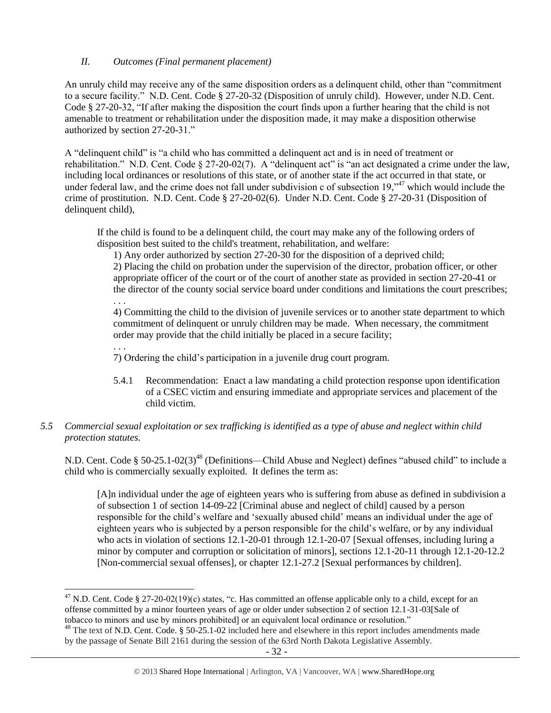## *II. Outcomes (Final permanent placement)*

An unruly child may receive any of the same disposition orders as a delinquent child, other than "commitment to a secure facility." N.D. Cent. Code § 27-20-32 (Disposition of unruly child). However, under N.D. Cent. Code § 27-20-32, "If after making the disposition the court finds upon a further hearing that the child is not amenable to treatment or rehabilitation under the disposition made, it may make a disposition otherwise authorized by section 27-20-31."

A "delinquent child" is "a child who has committed a delinquent act and is in need of treatment or rehabilitation." N.D. Cent. Code § 27-20-02(7). A "delinquent act" is "an act designated a crime under the law, including local ordinances or resolutions of this state, or of another state if the act occurred in that state, or under federal law, and the crime does not fall under subdivision c of subsection 19,<sup>347</sup> which would include the crime of prostitution. N.D. Cent. Code § 27-20-02(6). Under N.D. Cent. Code § 27-20-31 (Disposition of delinquent child),

If the child is found to be a delinquent child, the court may make any of the following orders of disposition best suited to the child's treatment, rehabilitation, and welfare:

1) Any order authorized by section 27-20-30 for the disposition of a deprived child;

2) Placing the child on probation under the supervision of the director, probation officer, or other appropriate officer of the court or of the court of another state as provided in section 27-20-41 or the director of the county social service board under conditions and limitations the court prescribes; . . .

4) Committing the child to the division of juvenile services or to another state department to which commitment of delinquent or unruly children may be made. When necessary, the commitment order may provide that the child initially be placed in a secure facility;

. . .

7) Ordering the child's participation in a juvenile drug court program.

5.4.1 Recommendation: Enact a law mandating a child protection response upon identification of a CSEC victim and ensuring immediate and appropriate services and placement of the child victim.

## *5.5 Commercial sexual exploitation or sex trafficking is identified as a type of abuse and neglect within child protection statutes.*

N.D. Cent. Code § 50-25.1-02(3)<sup>48</sup> (Definitions—Child Abuse and Neglect) defines "abused child" to include a child who is commercially sexually exploited. It defines the term as:

<span id="page-31-0"></span>[A]n individual under the age of eighteen years who is suffering from abuse as defined in subdivision a of subsection 1 of section 14-09-22 [Criminal abuse and neglect of child] caused by a person responsible for the child's welfare and 'sexually abused child' means an individual under the age of eighteen years who is subjected by a person responsible for the child's welfare, or by any individual who acts in violation of sections 12.1-20-01 through 12.1-20-07 [Sexual offenses, including luring a minor by computer and corruption or solicitation of minors], sections 12.1-20-11 through 12.1-20-12.2 [Non-commercial sexual offenses], or chapter 12.1-27.2 [Sexual performances by children].

 $\overline{\phantom{a}}$ <sup>47</sup> N.D. Cent. Code § 27-20-02(19)(c) states, "c. Has committed an offense applicable only to a child, except for an offense committed by a minor fourteen years of age or older under subsection 2 of section 12.1-31-03[Sale of tobacco to minors and use by minors prohibited] or an equivalent local ordinance or resolution."

<sup>&</sup>lt;sup>48</sup> The text of N.D. Cent. Code. § 50-25.1-02 included here and elsewhere in this report includes amendments made by the passage of Senate Bill 2161 during the session of the 63rd North Dakota Legislative Assembly.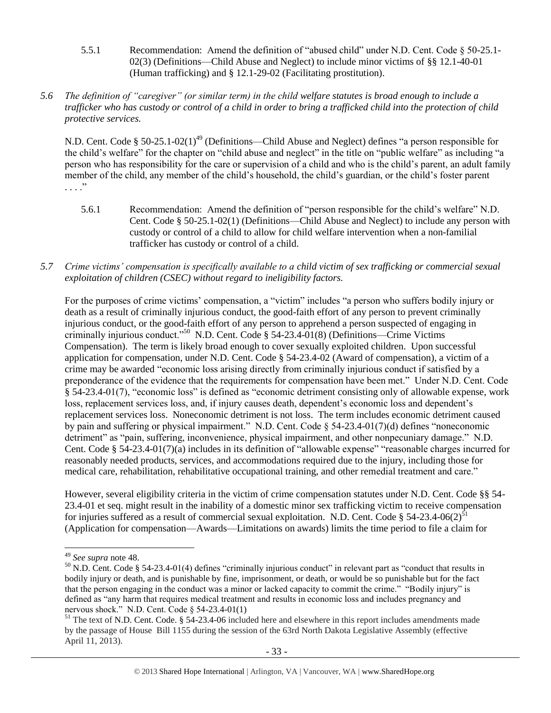- 5.5.1 Recommendation: Amend the definition of "abused child" under N.D. Cent. Code § 50-25.1- 02(3) (Definitions—Child Abuse and Neglect) to include minor victims of §§ 12.1-40-01 (Human trafficking) and § 12.1-29-02 (Facilitating prostitution).
- *5.6 The definition of "caregiver" (or similar term) in the child welfare statutes is broad enough to include a trafficker who has custody or control of a child in order to bring a trafficked child into the protection of child protective services.*

N.D. Cent. Code § 50-25.1-02(1)<sup>49</sup> (Definitions—Child Abuse and Neglect) defines "a person responsible for the child's welfare" for the chapter on "child abuse and neglect" in the title on "public welfare" as including "a person who has responsibility for the care or supervision of a child and who is the child's parent, an adult family member of the child, any member of the child's household, the child's guardian, or the child's foster parent  $\cdots$   $\cdots$ 

- 5.6.1 Recommendation: Amend the definition of "person responsible for the child's welfare" N.D. Cent. Code § 50-25.1-02(1) (Definitions—Child Abuse and Neglect) to include any person with custody or control of a child to allow for child welfare intervention when a non-familial trafficker has custody or control of a child.
- *5.7 Crime victims' compensation is specifically available to a child victim of sex trafficking or commercial sexual exploitation of children (CSEC) without regard to ineligibility factors.*

For the purposes of crime victims' compensation, a "victim" includes "a person who suffers bodily injury or death as a result of criminally injurious conduct, the good-faith effort of any person to prevent criminally injurious conduct, or the good-faith effort of any person to apprehend a person suspected of engaging in criminally injurious conduct."<sup>50</sup> N.D. Cent. Code § 54-23.4-01(8) (Definitions—Crime Victims Compensation). The term is likely broad enough to cover sexually exploited children. Upon successful application for compensation, under N.D. Cent. Code § 54-23.4-02 (Award of compensation), a victim of a crime may be awarded "economic loss arising directly from criminally injurious conduct if satisfied by a preponderance of the evidence that the requirements for compensation have been met." Under N.D. Cent. Code § 54-23.4-01(7), "economic loss" is defined as "economic detriment consisting only of allowable expense, work loss, replacement services loss, and, if injury causes death, dependent's economic loss and dependent's replacement services loss. Noneconomic detriment is not loss. The term includes economic detriment caused by pain and suffering or physical impairment." N.D. Cent. Code § 54-23.4-01(7)(d) defines "noneconomic detriment" as "pain, suffering, inconvenience, physical impairment, and other nonpecuniary damage." N.D. Cent. Code § 54-23.4-01(7)(a) includes in its definition of "allowable expense" "reasonable charges incurred for reasonably needed products, services, and accommodations required due to the injury, including those for medical care, rehabilitation, rehabilitative occupational training, and other remedial treatment and care."

However, several eligibility criteria in the victim of crime compensation statutes under N.D. Cent. Code §§ 54- 23.4-01 et seq. might result in the inability of a domestic minor sex trafficking victim to receive compensation for injuries suffered as a result of commercial sexual exploitation. N.D. Cent. Code § 54-23.4-06(2)<sup>51</sup> (Application for compensation—Awards—Limitations on awards) limits the time period to file a claim for

 $\overline{a}$ 

<sup>49</sup> *See supra* note [48.](#page-31-0)

 $50$  N.D. Cent. Code § 54-23.4-01(4) defines "criminally injurious conduct" in relevant part as "conduct that results in bodily injury or death, and is punishable by fine, imprisonment, or death, or would be so punishable but for the fact that the person engaging in the conduct was a minor or lacked capacity to commit the crime." "Bodily injury" is defined as "any harm that requires medical treatment and results in economic loss and includes pregnancy and nervous shock." N.D. Cent. Code § 54-23.4-01(1)

 $51$  The text of N.D. Cent. Code. §  $54$ -23.4-06 included here and elsewhere in this report includes amendments made by the passage of House Bill 1155 during the session of the 63rd North Dakota Legislative Assembly (effective April 11, 2013).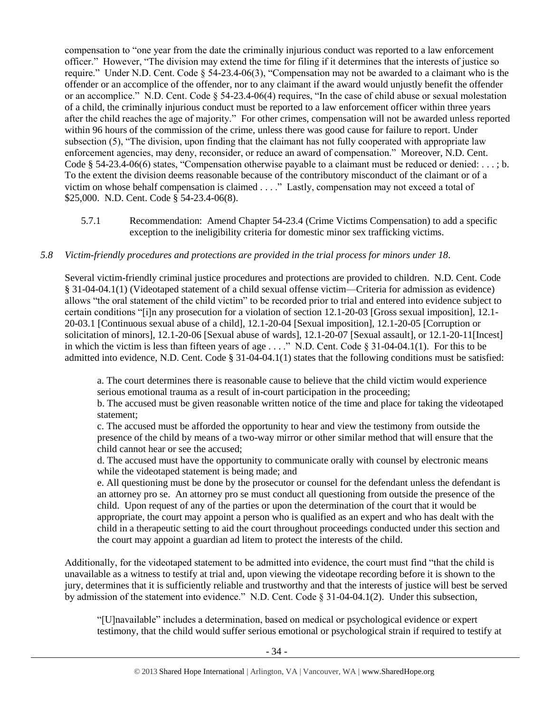compensation to "one year from the date the criminally injurious conduct was reported to a law enforcement officer." However, "The division may extend the time for filing if it determines that the interests of justice so require." Under N.D. Cent. Code § 54-23.4-06(3), "Compensation may not be awarded to a claimant who is the offender or an accomplice of the offender, nor to any claimant if the award would unjustly benefit the offender or an accomplice." N.D. Cent. Code § 54-23.4-06(4) requires, "In the case of child abuse or sexual molestation of a child, the criminally injurious conduct must be reported to a law enforcement officer within three years after the child reaches the age of majority." For other crimes, compensation will not be awarded unless reported within 96 hours of the commission of the crime, unless there was good cause for failure to report. Under subsection (5), "The division, upon finding that the claimant has not fully cooperated with appropriate law enforcement agencies, may deny, reconsider, or reduce an award of compensation." Moreover, N.D. Cent. Code § 54-23.4-06(6) states, "Compensation otherwise payable to a claimant must be reduced or denied:  $\dots$ ; b. To the extent the division deems reasonable because of the contributory misconduct of the claimant or of a victim on whose behalf compensation is claimed . . . ." Lastly, compensation may not exceed a total of \$25,000. N.D. Cent. Code § 54-23.4-06(8).

5.7.1 Recommendation: Amend Chapter 54-23.4 (Crime Victims Compensation) to add a specific exception to the ineligibility criteria for domestic minor sex trafficking victims.

#### *5.8 Victim-friendly procedures and protections are provided in the trial process for minors under 18.*

Several victim-friendly criminal justice procedures and protections are provided to children. N.D. Cent. Code § 31-04-04.1(1) (Videotaped statement of a child sexual offense victim—Criteria for admission as evidence) allows "the oral statement of the child victim" to be recorded prior to trial and entered into evidence subject to certain conditions "[i]n any prosecution for a violation of section 12.1-20-03 [Gross sexual imposition], 12.1- 20-03.1 [Continuous sexual abuse of a child], 12.1-20-04 [Sexual imposition], 12.1-20-05 [Corruption or solicitation of minors], 12.1-20-06 [Sexual abuse of wards], 12.1-20-07 [Sexual assault], or 12.1-20-11[Incest] in which the victim is less than fifteen years of age . . . ." N.D. Cent. Code § 31-04-04.1(1). For this to be admitted into evidence, N.D. Cent. Code § 31-04-04.1(1) states that the following conditions must be satisfied:

a. The court determines there is reasonable cause to believe that the child victim would experience serious emotional trauma as a result of in-court participation in the proceeding;

b. The accused must be given reasonable written notice of the time and place for taking the videotaped statement;

c. The accused must be afforded the opportunity to hear and view the testimony from outside the presence of the child by means of a two-way mirror or other similar method that will ensure that the child cannot hear or see the accused;

d. The accused must have the opportunity to communicate orally with counsel by electronic means while the videotaped statement is being made; and

e. All questioning must be done by the prosecutor or counsel for the defendant unless the defendant is an attorney pro se. An attorney pro se must conduct all questioning from outside the presence of the child. Upon request of any of the parties or upon the determination of the court that it would be appropriate, the court may appoint a person who is qualified as an expert and who has dealt with the child in a therapeutic setting to aid the court throughout proceedings conducted under this section and the court may appoint a guardian ad litem to protect the interests of the child.

Additionally, for the videotaped statement to be admitted into evidence, the court must find "that the child is unavailable as a witness to testify at trial and, upon viewing the videotape recording before it is shown to the jury, determines that it is sufficiently reliable and trustworthy and that the interests of justice will best be served by admission of the statement into evidence." N.D. Cent. Code § 31-04-04.1(2). Under this subsection,

"[U]navailable" includes a determination, based on medical or psychological evidence or expert testimony, that the child would suffer serious emotional or psychological strain if required to testify at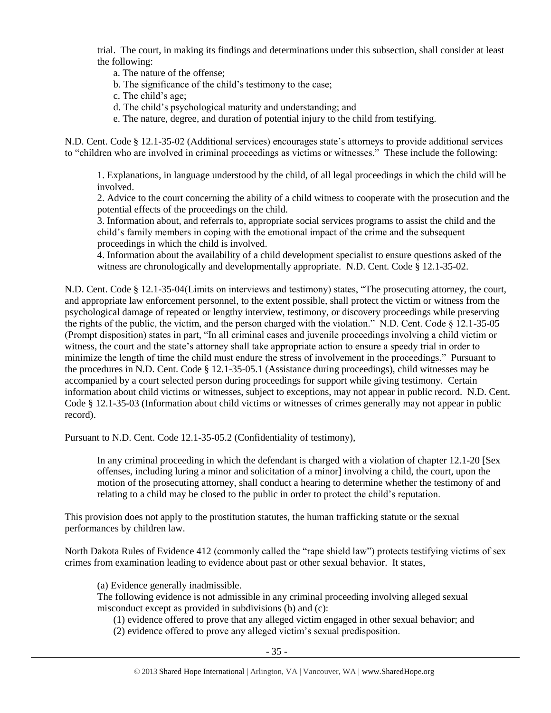trial. The court, in making its findings and determinations under this subsection, shall consider at least the following:

a. The nature of the offense;

b. The significance of the child's testimony to the case;

c. The child's age;

d. The child's psychological maturity and understanding; and

e. The nature, degree, and duration of potential injury to the child from testifying.

N.D. Cent. Code § 12.1-35-02 (Additional services) encourages state's attorneys to provide additional services to "children who are involved in criminal proceedings as victims or witnesses." These include the following:

1. Explanations, in language understood by the child, of all legal proceedings in which the child will be involved.

2. Advice to the court concerning the ability of a child witness to cooperate with the prosecution and the potential effects of the proceedings on the child.

3. Information about, and referrals to, appropriate social services programs to assist the child and the child's family members in coping with the emotional impact of the crime and the subsequent proceedings in which the child is involved.

4. Information about the availability of a child development specialist to ensure questions asked of the witness are chronologically and developmentally appropriate. N.D. Cent. Code § 12.1-35-02.

N.D. Cent. Code § 12.1-35-04(Limits on interviews and testimony) states, "The prosecuting attorney, the court, and appropriate law enforcement personnel, to the extent possible, shall protect the victim or witness from the psychological damage of repeated or lengthy interview, testimony, or discovery proceedings while preserving the rights of the public, the victim, and the person charged with the violation." N.D. Cent. Code § 12.1-35-05 (Prompt disposition) states in part, "In all criminal cases and juvenile proceedings involving a child victim or witness, the court and the state's attorney shall take appropriate action to ensure a speedy trial in order to minimize the length of time the child must endure the stress of involvement in the proceedings." Pursuant to the procedures in N.D. Cent. Code § 12.1-35-05.1 (Assistance during proceedings), child witnesses may be accompanied by a court selected person during proceedings for support while giving testimony. Certain information about child victims or witnesses, subject to exceptions, may not appear in public record. N.D. Cent. Code § 12.1-35-03 (Information about child victims or witnesses of crimes generally may not appear in public record).

Pursuant to N.D. Cent. Code 12.1-35-05.2 (Confidentiality of testimony),

In any criminal proceeding in which the defendant is charged with a violation of chapter 12.1-20 [Sex offenses, including luring a minor and solicitation of a minor] involving a child, the court, upon the motion of the prosecuting attorney, shall conduct a hearing to determine whether the testimony of and relating to a child may be closed to the public in order to protect the child's reputation.

This provision does not apply to the prostitution statutes, the human trafficking statute or the sexual performances by children law.

North Dakota Rules of Evidence 412 (commonly called the "rape shield law") protects testifying victims of sex crimes from examination leading to evidence about past or other sexual behavior. It states,

(a) Evidence generally inadmissible.

The following evidence is not admissible in any criminal proceeding involving alleged sexual misconduct except as provided in subdivisions (b) and (c):

(1) evidence offered to prove that any alleged victim engaged in other sexual behavior; and (2) evidence offered to prove any alleged victim's sexual predisposition.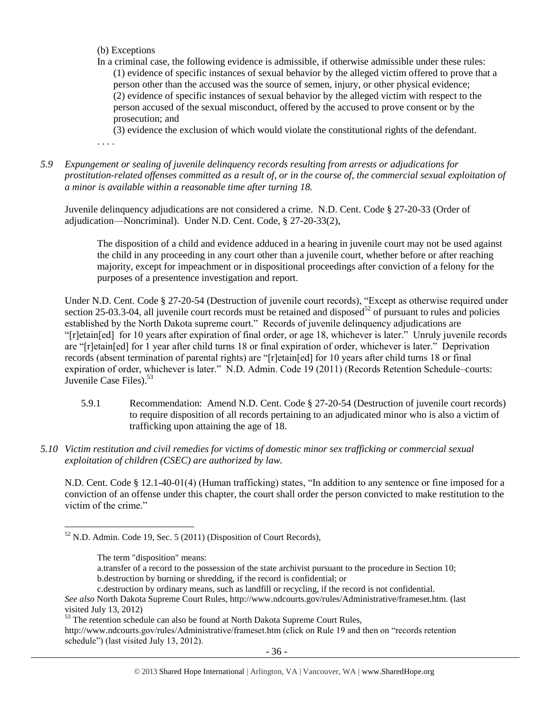- (b) Exceptions
- In a criminal case, the following evidence is admissible, if otherwise admissible under these rules: (1) evidence of specific instances of sexual behavior by the alleged victim offered to prove that a person other than the accused was the source of semen, injury, or other physical evidence; (2) evidence of specific instances of sexual behavior by the alleged victim with respect to the person accused of the sexual misconduct, offered by the accused to prove consent or by the prosecution; and

(3) evidence the exclusion of which would violate the constitutional rights of the defendant.

. . . .

*5.9 Expungement or sealing of juvenile delinquency records resulting from arrests or adjudications for prostitution-related offenses committed as a result of, or in the course of, the commercial sexual exploitation of a minor is available within a reasonable time after turning 18.*

Juvenile delinquency adjudications are not considered a crime. N.D. Cent. Code § 27-20-33 (Order of adjudication—Noncriminal). Under N.D. Cent. Code, § 27-20-33(2),

The disposition of a child and evidence adduced in a hearing in juvenile court may not be used against the child in any proceeding in any court other than a juvenile court, whether before or after reaching majority, except for impeachment or in dispositional proceedings after conviction of a felony for the purposes of a presentence investigation and report.

Under N.D. Cent. Code § 27-20-54 (Destruction of juvenile court records), "Except as otherwise required under section 25-03.3-04, all juvenile court records must be retained and disposed<sup>52</sup> of pursuant to rules and policies established by the North Dakota supreme court." Records of juvenile delinquency adjudications are "[r]etain[ed] for 10 years after expiration of final order, or age 18, whichever is later." Unruly juvenile records are "[r]etain[ed] for 1 year after child turns 18 or final expiration of order, whichever is later." Deprivation records (absent termination of parental rights) are "[r]etain[ed] for 10 years after child turns 18 or final expiration of order, whichever is later." N.D. Admin. Code 19 (2011) (Records Retention Schedule–courts: Juvenile Case Files). $53$ 

- 5.9.1 Recommendation: Amend N.D. Cent. Code § 27-20-54 (Destruction of juvenile court records) to require disposition of all records pertaining to an adjudicated minor who is also a victim of trafficking upon attaining the age of 18.
- *5.10 Victim restitution and civil remedies for victims of domestic minor sex trafficking or commercial sexual exploitation of children (CSEC) are authorized by law.*

N.D. Cent. Code § 12.1-40-01(4) (Human trafficking) states, "In addition to any sentence or fine imposed for a conviction of an offense under this chapter, the court shall order the person convicted to make restitution to the victim of the crime."

a.transfer of a record to the possession of the state archivist pursuant to the procedure in Section 10; b.destruction by burning or shredding, if the record is confidential; or

 $\overline{\phantom{a}}$  $52$  N.D. Admin. Code 19, Sec. 5 (2011) (Disposition of Court Records),

The term "disposition" means:

c.destruction by ordinary means, such as landfill or recycling, if the record is not confidential.

*See also* North Dakota Supreme Court Rules, http://www.ndcourts.gov/rules/Administrative/frameset.htm. (last visited July 13, 2012)

<sup>&</sup>lt;sup>53</sup> The retention schedule can also be found at North Dakota Supreme Court Rules, http://www.ndcourts.gov/rules/Administrative/frameset.htm (click on Rule 19 and then on "records retention schedule") (last visited July 13, 2012).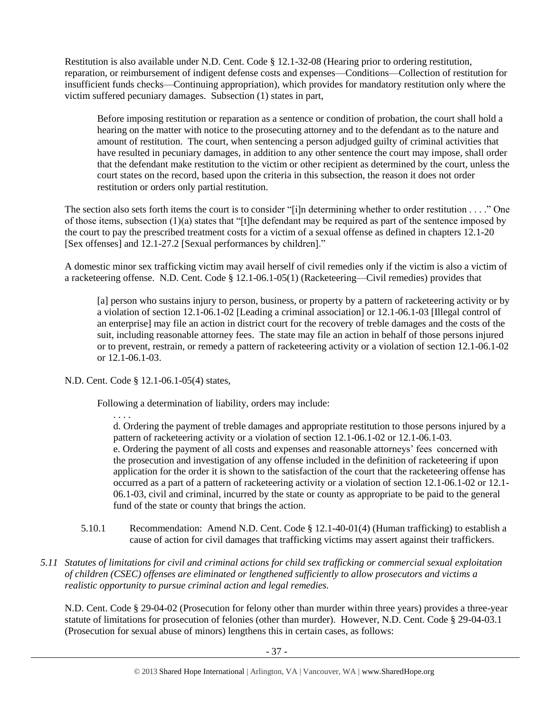Restitution is also available under N.D. Cent. Code § 12.1-32-08 (Hearing prior to ordering restitution, reparation, or reimbursement of indigent defense costs and expenses—Conditions—Collection of restitution for insufficient funds checks—Continuing appropriation), which provides for mandatory restitution only where the victim suffered pecuniary damages. Subsection (1) states in part,

Before imposing restitution or reparation as a sentence or condition of probation, the court shall hold a hearing on the matter with notice to the prosecuting attorney and to the defendant as to the nature and amount of restitution. The court, when sentencing a person adjudged guilty of criminal activities that have resulted in pecuniary damages, in addition to any other sentence the court may impose, shall order that the defendant make restitution to the victim or other recipient as determined by the court, unless the court states on the record, based upon the criteria in this subsection, the reason it does not order restitution or orders only partial restitution.

The section also sets forth items the court is to consider "[i]n determining whether to order restitution . . . ." One of those items, subsection  $(1)(a)$  states that "[t]he defendant may be required as part of the sentence imposed by the court to pay the prescribed treatment costs for a victim of a sexual offense as defined in chapters 12.1-20 [Sex offenses] and 12.1-27.2 [Sexual performances by children]."

A domestic minor sex trafficking victim may avail herself of civil remedies only if the victim is also a victim of a racketeering offense. N.D. Cent. Code § 12.1-06.1-05(1) (Racketeering—Civil remedies) provides that

[a] person who sustains injury to person, business, or property by a pattern of racketeering activity or by a violation of section 12.1-06.1-02 [Leading a criminal association] or 12.1-06.1-03 [Illegal control of an enterprise] may file an action in district court for the recovery of treble damages and the costs of the suit, including reasonable attorney fees. The state may file an action in behalf of those persons injured or to prevent, restrain, or remedy a pattern of racketeering activity or a violation of section 12.1-06.1-02 or 12.1-06.1-03.

N.D. Cent. Code § 12.1-06.1-05(4) states,

Following a determination of liability, orders may include:

. . . .

d. Ordering the payment of treble damages and appropriate restitution to those persons injured by a pattern of racketeering activity or a violation of section 12.1-06.1-02 or 12.1-06.1-03. e. Ordering the payment of all costs and expenses and reasonable attorneys' fees concerned with the prosecution and investigation of any offense included in the definition of racketeering if upon application for the order it is shown to the satisfaction of the court that the racketeering offense has occurred as a part of a pattern of racketeering activity or a violation of section 12.1-06.1-02 or 12.1- 06.1-03, civil and criminal, incurred by the state or county as appropriate to be paid to the general fund of the state or county that brings the action.

- 5.10.1 Recommendation: Amend N.D. Cent. Code § 12.1-40-01(4) (Human trafficking) to establish a cause of action for civil damages that trafficking victims may assert against their traffickers.
- *5.11 Statutes of limitations for civil and criminal actions for child sex trafficking or commercial sexual exploitation of children (CSEC) offenses are eliminated or lengthened sufficiently to allow prosecutors and victims a realistic opportunity to pursue criminal action and legal remedies.*

N.D. Cent. Code § 29-04-02 (Prosecution for felony other than murder within three years) provides a three-year statute of limitations for prosecution of felonies (other than murder). However, N.D. Cent. Code § 29-04-03.1 (Prosecution for sexual abuse of minors) lengthens this in certain cases, as follows: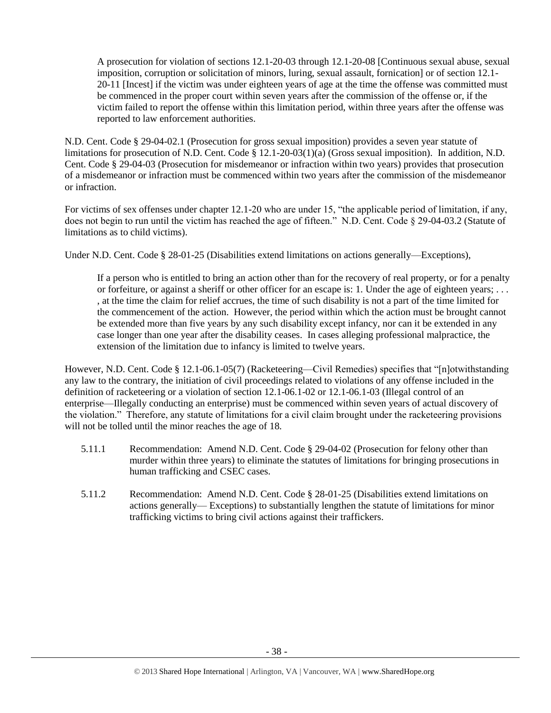A prosecution for violation of sections 12.1-20-03 through 12.1-20-08 [Continuous sexual abuse, sexual imposition, corruption or solicitation of minors, luring, sexual assault, fornication] or of section 12.1- 20-11 [Incest] if the victim was under eighteen years of age at the time the offense was committed must be commenced in the proper court within seven years after the commission of the offense or, if the victim failed to report the offense within this limitation period, within three years after the offense was reported to law enforcement authorities.

N.D. Cent. Code § 29-04-02.1 (Prosecution for gross sexual imposition) provides a seven year statute of limitations for prosecution of N.D. Cent. Code § 12.1-20-03(1)(a) (Gross sexual imposition). In addition, N.D. Cent. Code § 29-04-03 (Prosecution for misdemeanor or infraction within two years) provides that prosecution of a misdemeanor or infraction must be commenced within two years after the commission of the misdemeanor or infraction.

For victims of sex offenses under chapter 12.1-20 who are under 15, "the applicable period of limitation, if any, does not begin to run until the victim has reached the age of fifteen." N.D. Cent. Code § 29-04-03.2 (Statute of limitations as to child victims).

Under N.D. Cent. Code § 28-01-25 (Disabilities extend limitations on actions generally—Exceptions),

If a person who is entitled to bring an action other than for the recovery of real property, or for a penalty or forfeiture, or against a sheriff or other officer for an escape is: 1. Under the age of eighteen years; . . . , at the time the claim for relief accrues, the time of such disability is not a part of the time limited for the commencement of the action. However, the period within which the action must be brought cannot be extended more than five years by any such disability except infancy, nor can it be extended in any case longer than one year after the disability ceases. In cases alleging professional malpractice, the extension of the limitation due to infancy is limited to twelve years.

However, N.D. Cent. Code § 12.1-06.1-05(7) (Racketeering—Civil Remedies) specifies that "[n]otwithstanding any law to the contrary, the initiation of civil proceedings related to violations of any offense included in the definition of racketeering or a violation of section 12.1-06.1-02 or 12.1-06.1-03 (Illegal control of an enterprise—Illegally conducting an enterprise) must be commenced within seven years of actual discovery of the violation." Therefore, any statute of limitations for a civil claim brought under the racketeering provisions will not be tolled until the minor reaches the age of 18.

- 5.11.1 Recommendation: Amend N.D. Cent. Code § 29-04-02 (Prosecution for felony other than murder within three years) to eliminate the statutes of limitations for bringing prosecutions in human trafficking and CSEC cases.
- 5.11.2 Recommendation: Amend N.D. Cent. Code § 28-01-25 (Disabilities extend limitations on actions generally— Exceptions) to substantially lengthen the statute of limitations for minor trafficking victims to bring civil actions against their traffickers.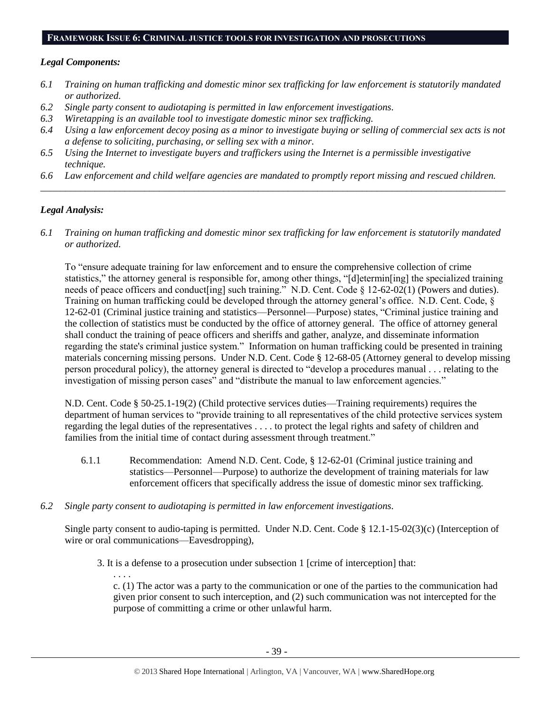#### **FRAMEWORK ISSUE 6: CRIMINAL JUSTICE TOOLS FOR INVESTIGATION AND PROSECUTIONS**

#### *Legal Components:*

- *6.1 Training on human trafficking and domestic minor sex trafficking for law enforcement is statutorily mandated or authorized.*
- *6.2 Single party consent to audiotaping is permitted in law enforcement investigations.*
- *6.3 Wiretapping is an available tool to investigate domestic minor sex trafficking.*
- *6.4 Using a law enforcement decoy posing as a minor to investigate buying or selling of commercial sex acts is not a defense to soliciting, purchasing, or selling sex with a minor.*
- *6.5 Using the Internet to investigate buyers and traffickers using the Internet is a permissible investigative technique.*
- *6.6 Law enforcement and child welfare agencies are mandated to promptly report missing and rescued children. \_\_\_\_\_\_\_\_\_\_\_\_\_\_\_\_\_\_\_\_\_\_\_\_\_\_\_\_\_\_\_\_\_\_\_\_\_\_\_\_\_\_\_\_\_\_\_\_\_\_\_\_\_\_\_\_\_\_\_\_\_\_\_\_\_\_\_\_\_\_\_\_\_\_\_\_\_\_\_\_\_\_\_\_\_\_\_\_\_\_\_\_\_\_*

## *Legal Analysis:*

*6.1 Training on human trafficking and domestic minor sex trafficking for law enforcement is statutorily mandated or authorized.*

To "ensure adequate training for law enforcement and to ensure the comprehensive collection of crime statistics," the attorney general is responsible for, among other things, "[d]etermin[ing] the specialized training needs of peace officers and conduct[ing] such training." N.D. Cent. Code § 12-62-02(1) (Powers and duties). Training on human trafficking could be developed through the attorney general's office. N.D. Cent. Code, § 12-62-01 (Criminal justice training and statistics—Personnel—Purpose) states, "Criminal justice training and the collection of statistics must be conducted by the office of attorney general. The office of attorney general shall conduct the training of peace officers and sheriffs and gather, analyze, and disseminate information regarding the state's criminal justice system." Information on human trafficking could be presented in training materials concerning missing persons. Under N.D. Cent. Code § 12-68-05 (Attorney general to develop missing person procedural policy), the attorney general is directed to "develop a procedures manual . . . relating to the investigation of missing person cases" and "distribute the manual to law enforcement agencies."

N.D. Cent. Code § 50-25.1-19(2) (Child protective services duties—Training requirements) requires the department of human services to "provide training to all representatives of the child protective services system regarding the legal duties of the representatives . . . . to protect the legal rights and safety of children and families from the initial time of contact during assessment through treatment."

- 6.1.1 Recommendation: Amend N.D. Cent. Code, § 12-62-01 (Criminal justice training and statistics—Personnel—Purpose) to authorize the development of training materials for law enforcement officers that specifically address the issue of domestic minor sex trafficking.
- *6.2 Single party consent to audiotaping is permitted in law enforcement investigations.*

Single party consent to audio-taping is permitted. Under N.D. Cent. Code § 12.1-15-02(3)(c) (Interception of wire or oral communications—Eavesdropping),

3. It is a defense to a prosecution under subsection 1 [crime of interception] that:

. . . . c. (1) The actor was a party to the communication or one of the parties to the communication had given prior consent to such interception, and (2) such communication was not intercepted for the purpose of committing a crime or other unlawful harm.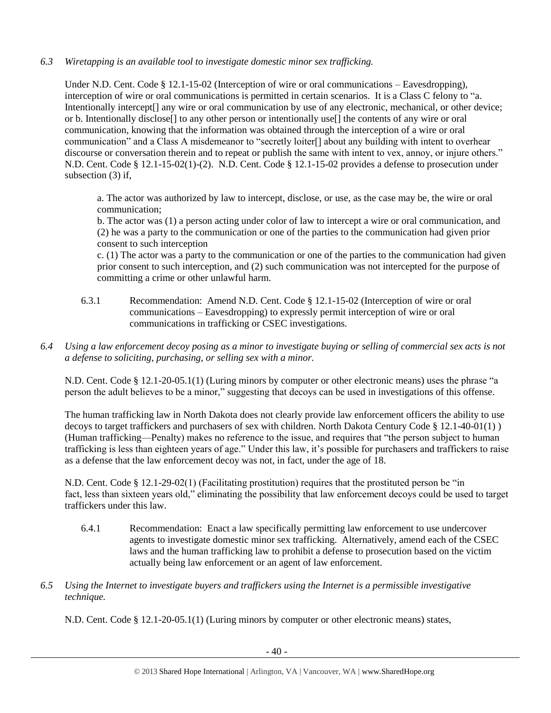## *6.3 Wiretapping is an available tool to investigate domestic minor sex trafficking.*

Under N.D. Cent. Code § 12.1-15-02 (Interception of wire or oral communications – Eavesdropping), interception of wire or oral communications is permitted in certain scenarios. It is a Class C felony to "a. Intentionally intercept[] any wire or oral communication by use of any electronic, mechanical, or other device; or b. Intentionally disclose[] to any other person or intentionally use[] the contents of any wire or oral communication, knowing that the information was obtained through the interception of a wire or oral communication" and a Class A misdemeanor to "secretly loiter[] about any building with intent to overhear discourse or conversation therein and to repeat or publish the same with intent to vex, annoy, or injure others." N.D. Cent. Code § 12.1-15-02(1)-(2). N.D. Cent. Code § 12.1-15-02 provides a defense to prosecution under subsection (3) if,

a. The actor was authorized by law to intercept, disclose, or use, as the case may be, the wire or oral communication;

b. The actor was (1) a person acting under color of law to intercept a wire or oral communication, and (2) he was a party to the communication or one of the parties to the communication had given prior consent to such interception

c. (1) The actor was a party to the communication or one of the parties to the communication had given prior consent to such interception, and (2) such communication was not intercepted for the purpose of committing a crime or other unlawful harm.

- 6.3.1 Recommendation: Amend N.D. Cent. Code § 12.1-15-02 (Interception of wire or oral communications – Eavesdropping) to expressly permit interception of wire or oral communications in trafficking or CSEC investigations.
- *6.4 Using a law enforcement decoy posing as a minor to investigate buying or selling of commercial sex acts is not a defense to soliciting, purchasing, or selling sex with a minor.*

N.D. Cent. Code § 12.1-20-05.1(1) (Luring minors by computer or other electronic means) uses the phrase "a person the adult believes to be a minor," suggesting that decoys can be used in investigations of this offense.

The human trafficking law in North Dakota does not clearly provide law enforcement officers the ability to use decoys to target traffickers and purchasers of sex with children. North Dakota Century Code § 12.1-40-01(1) ) (Human trafficking—Penalty) makes no reference to the issue, and requires that "the person subject to human trafficking is less than eighteen years of age." Under this law, it's possible for purchasers and traffickers to raise as a defense that the law enforcement decoy was not, in fact, under the age of 18.

N.D. Cent. Code § 12.1-29-02(1) (Facilitating prostitution) requires that the prostituted person be "in fact, less than sixteen years old," eliminating the possibility that law enforcement decoys could be used to target traffickers under this law.

- 6.4.1 Recommendation: Enact a law specifically permitting law enforcement to use undercover agents to investigate domestic minor sex trafficking. Alternatively, amend each of the CSEC laws and the human trafficking law to prohibit a defense to prosecution based on the victim actually being law enforcement or an agent of law enforcement.
- *6.5 Using the Internet to investigate buyers and traffickers using the Internet is a permissible investigative technique.*

N.D. Cent. Code § 12.1-20-05.1(1) (Luring minors by computer or other electronic means) states,